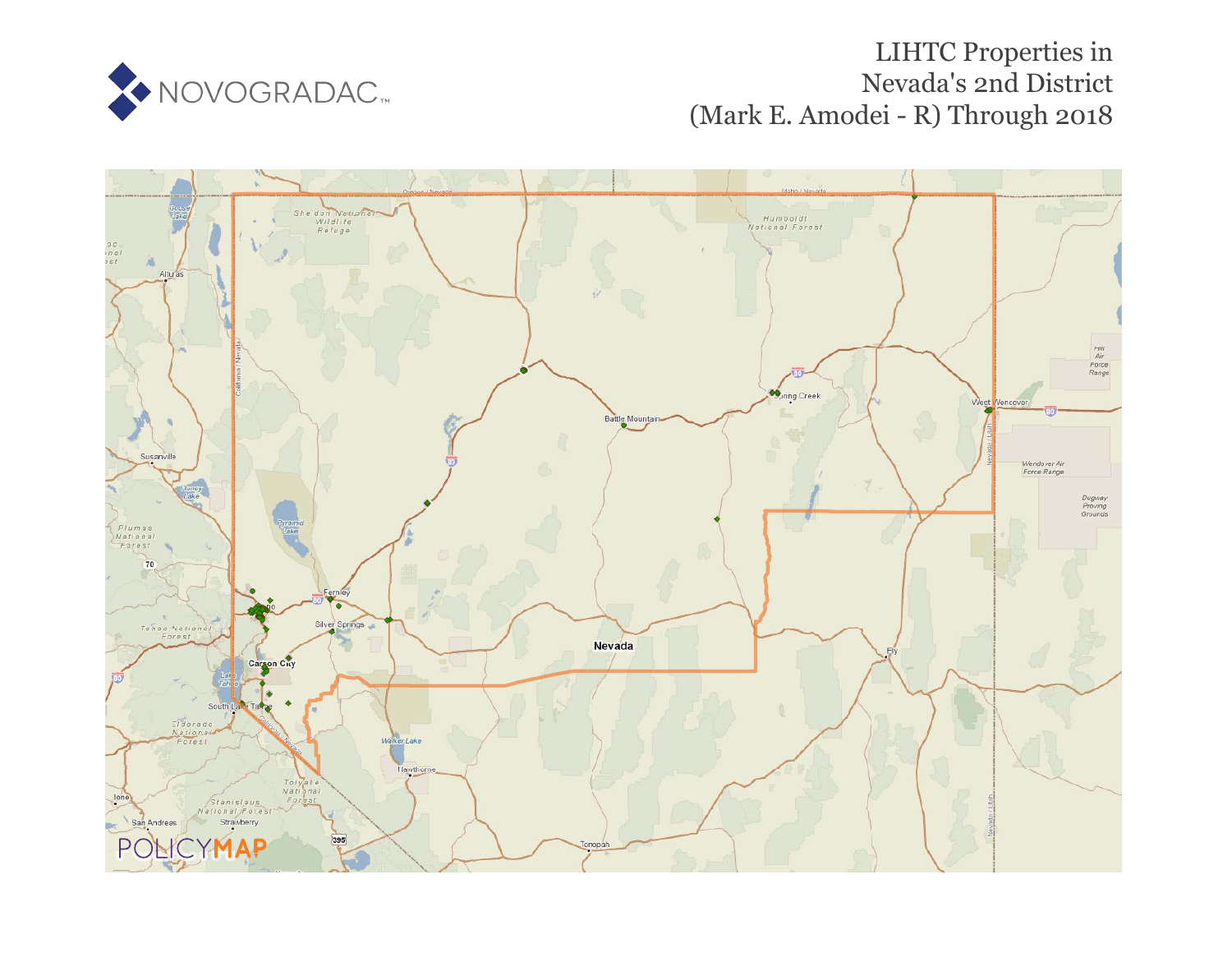

# LIHTC Properties in Nevada's 2n[d D](https://www.policymap.com/our-data-directory.html#HUD%20LIHTC)istrict (Mark E. Amodei - R) Through 2018

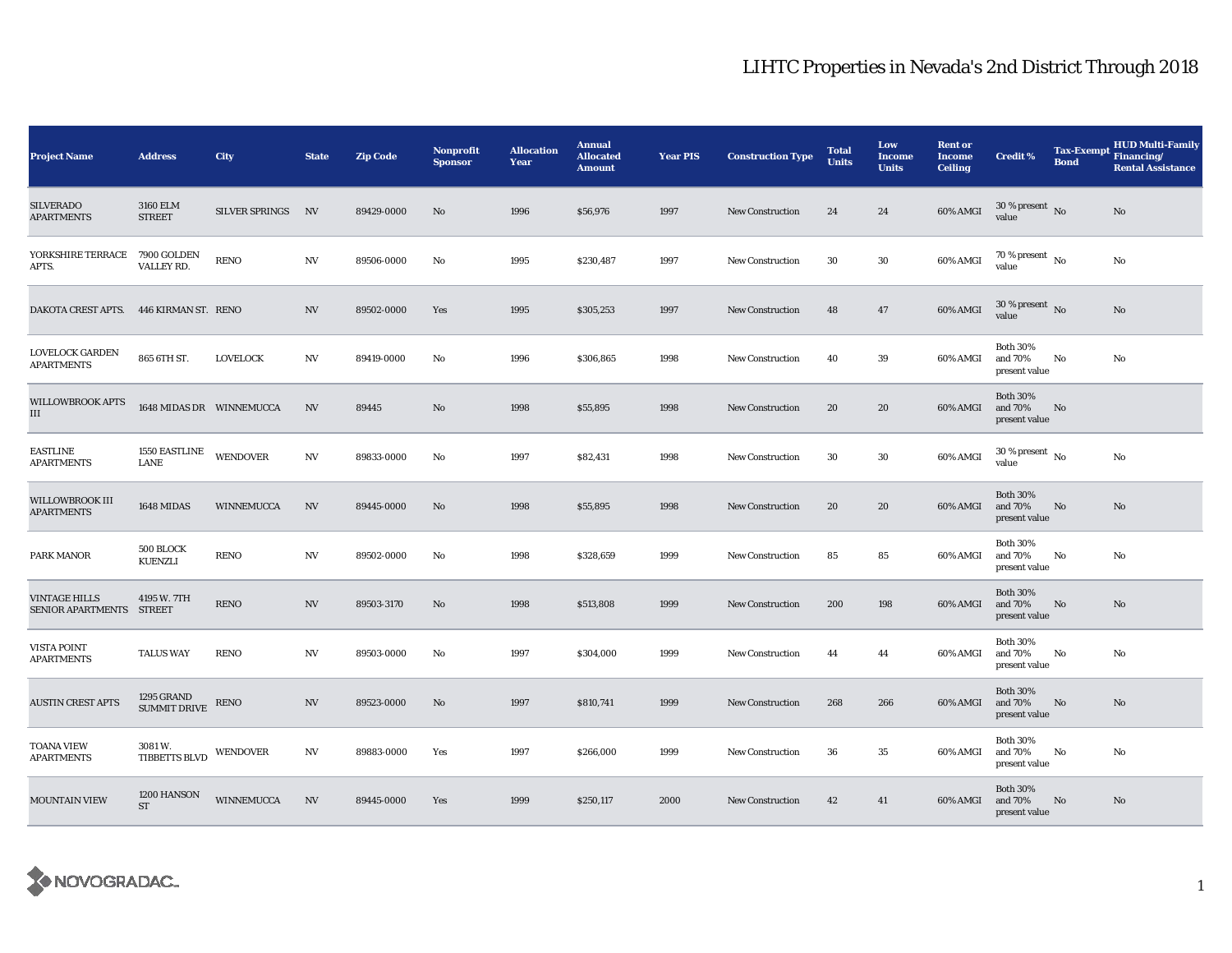| <b>Project Name</b>                              | <b>Address</b>                    | City              | <b>State</b>     | <b>Zip Code</b> | Nonprofit<br><b>Sponsor</b> | <b>Allocation</b><br>Year | <b>Annual</b><br><b>Allocated</b><br><b>Amount</b> | <b>Year PIS</b> | <b>Construction Type</b> | <b>Total</b><br><b>Units</b> | Low<br><b>Income</b><br><b>Units</b> | <b>Rent or</b><br><b>Income</b><br><b>Ceiling</b> | <b>Credit %</b>                             | Tax-Exempt Financing/<br><b>Bond</b> | <b>HUD Multi-Family</b><br><b>Rental Assistance</b> |
|--------------------------------------------------|-----------------------------------|-------------------|------------------|-----------------|-----------------------------|---------------------------|----------------------------------------------------|-----------------|--------------------------|------------------------------|--------------------------------------|---------------------------------------------------|---------------------------------------------|--------------------------------------|-----------------------------------------------------|
| <b>SILVERADO</b><br><b>APARTMENTS</b>            | 3160 ELM<br><b>STREET</b>         | SILVER SPRINGS    | N                | 89429-0000      | No                          | 1996                      | \$56,976                                           | 1997            | <b>New Construction</b>  | 24                           | 24                                   | 60% AMGI                                          | $30$ % present $\,$ No $\,$<br>value        |                                      | No                                                  |
| YORKSHIRE TERRACE<br>APTS.                       | 7900 GOLDEN<br>VALLEY RD.         | <b>RENO</b>       | $_{\mathrm{NV}}$ | 89506-0000      | No                          | 1995                      | \$230,487                                          | 1997            | <b>New Construction</b>  | 30                           | 30                                   | 60% AMGI                                          | 70 % present $\hbox{~No}$<br>value          |                                      | No                                                  |
| DAKOTA CREST APTS. 446 KIRMAN ST. RENO           |                                   |                   | <b>NV</b>        | 89502-0000      | Yes                         | 1995                      | \$305,253                                          | 1997            | <b>New Construction</b>  | 48                           | 47                                   | 60% AMGI                                          | $30\,\%$ present $\,$ No value              |                                      | No                                                  |
| LOVELOCK GARDEN<br><b>APARTMENTS</b>             | 865 6TH ST.                       | <b>LOVELOCK</b>   | NV               | 89419-0000      | No                          | 1996                      | \$306,865                                          | 1998            | <b>New Construction</b>  | 40                           | 39                                   | 60% AMGI                                          | <b>Both 30%</b><br>and 70%<br>present value | No                                   | No                                                  |
| <b>WILLOWBROOK APTS</b><br>Ш                     | 1648 MIDAS DR WINNEMUCCA          |                   | <b>NV</b>        | 89445           | No                          | 1998                      | \$55,895                                           | 1998            | <b>New Construction</b>  | 20                           | 20                                   | 60% AMGI                                          | <b>Both 30%</b><br>and 70%<br>present value | No                                   |                                                     |
| <b>EASTLINE</b><br><b>APARTMENTS</b>             | <b>1550 EASTLINE</b><br>LANE      | WENDOVER          | $_{\mathrm{NV}}$ | 89833-0000      | No                          | 1997                      | \$82,431                                           | 1998            | <b>New Construction</b>  | 30                           | 30                                   | 60% AMGI                                          | $30$ % present $\,$ No $\,$<br>value        |                                      | No                                                  |
| WILLOWBROOK III<br><b>APARTMENTS</b>             | 1648 MIDAS                        | WINNEMUCCA        | <b>NV</b>        | 89445-0000      | No                          | 1998                      | \$55,895                                           | 1998            | <b>New Construction</b>  | 20                           | 20                                   | 60% AMGI                                          | <b>Both 30%</b><br>and 70%<br>present value | No                                   | No                                                  |
| PARK MANOR                                       | 500 BLOCK<br>KUENZLI              | RENO              | NV               | 89502-0000      | No                          | 1998                      | \$328,659                                          | 1999            | New Construction         | 85                           | 85                                   | 60% AMGI                                          | <b>Both 30%</b><br>and 70%<br>present value | No                                   | No                                                  |
| <b>VINTAGE HILLS</b><br>SENIOR APARTMENTS STREET | 4195 W. 7TH                       | <b>RENO</b>       | <b>NV</b>        | 89503-3170      | No                          | 1998                      | \$513,808                                          | 1999            | <b>New Construction</b>  | 200                          | 198                                  | 60% AMGI                                          | <b>Both 30%</b><br>and 70%<br>present value | No                                   | No                                                  |
| VISTA POINT<br><b>APARTMENTS</b>                 | <b>TALUS WAY</b>                  | <b>RENO</b>       | <b>NV</b>        | 89503-0000      | No                          | 1997                      | \$304,000                                          | 1999            | New Construction         | 44                           | 44                                   | 60% AMGI                                          | <b>Both 30%</b><br>and 70%<br>present value | No                                   | No                                                  |
| <b>AUSTIN CREST APTS</b>                         | 1295 GRAND<br><b>SUMMIT DRIVE</b> | RENO              | <b>NV</b>        | 89523-0000      | No                          | 1997                      | \$810,741                                          | 1999            | <b>New Construction</b>  | 268                          | 266                                  | 60% AMGI                                          | <b>Both 30%</b><br>and 70%<br>present value | No                                   | No                                                  |
| TOANA VIEW<br><b>APARTMENTS</b>                  | 3081 W.<br>TIBBETTS BLVD          | <b>WENDOVER</b>   | $_{\mathrm{NV}}$ | 89883-0000      | Yes                         | 1997                      | \$266,000                                          | 1999            | New Construction         | 36                           | 35                                   | 60% AMGI                                          | <b>Both 30%</b><br>and 70%<br>present value | No                                   | No                                                  |
| <b>MOUNTAIN VIEW</b>                             | 1200 HANSON<br><b>ST</b>          | <b>WINNEMUCCA</b> | NV               | 89445-0000      | Yes                         | 1999                      | \$250,117                                          | 2000            | New Construction         | 42                           | 41                                   | 60% AMGI                                          | <b>Both 30%</b><br>and 70%<br>present value | No                                   | No                                                  |

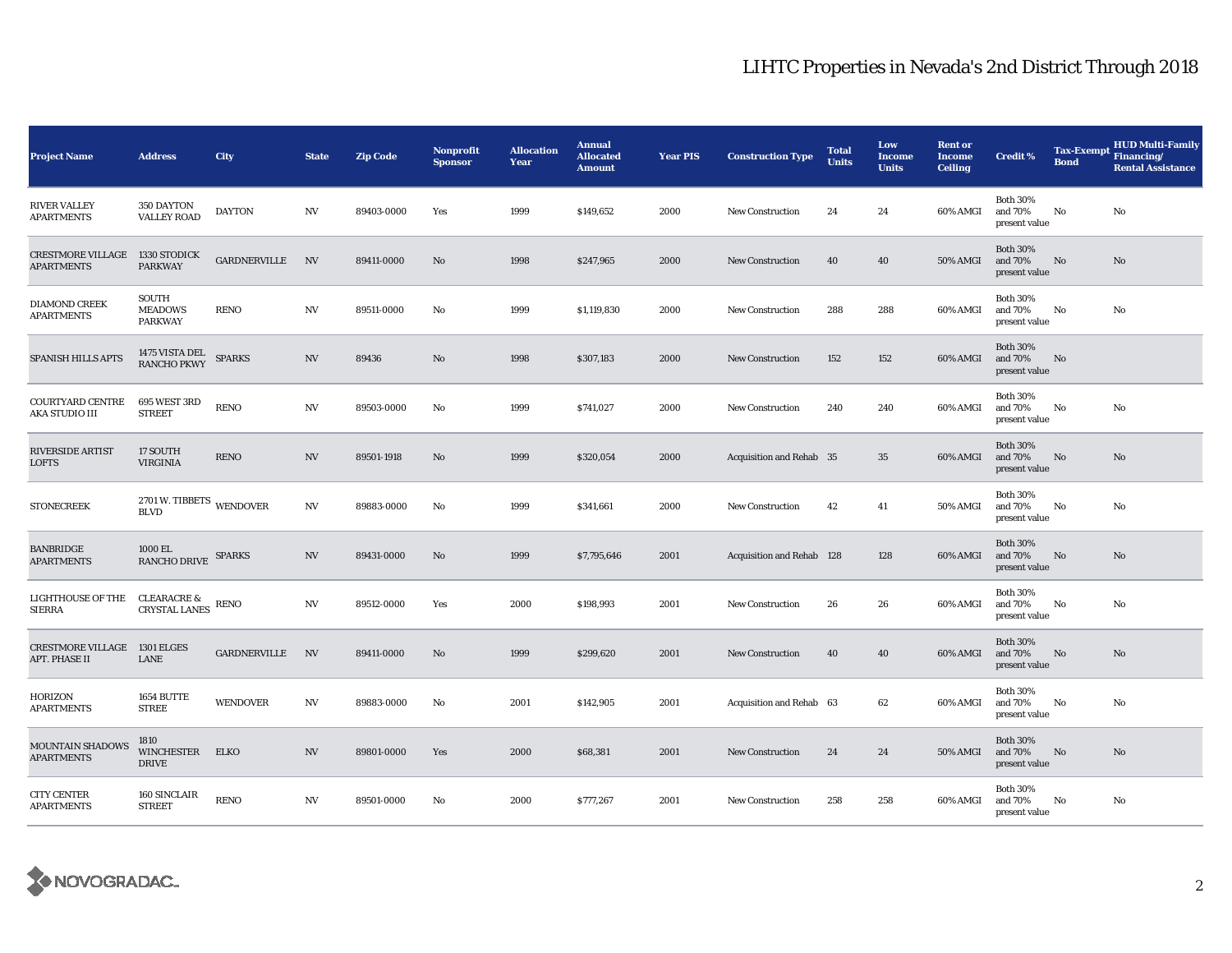| <b>Project Name</b>                                  | <b>Address</b>                                            | City            | <b>State</b> | <b>Zip Code</b> | <b>Nonprofit</b><br><b>Sponsor</b> | <b>Allocation</b><br>Year | <b>Annual</b><br><b>Allocated</b><br><b>Amount</b> | <b>Year PIS</b> | <b>Construction Type</b>  | <b>Total</b><br><b>Units</b> | Low<br><b>Income</b><br><b>Units</b> | <b>Rent or</b><br><b>Income</b><br><b>Ceiling</b> | <b>Credit %</b>                             | <b>Bond</b> | <b>HUD Multi-Family</b><br>Tax-Exempt Financing/<br><b>Rental Assistance</b> |
|------------------------------------------------------|-----------------------------------------------------------|-----------------|--------------|-----------------|------------------------------------|---------------------------|----------------------------------------------------|-----------------|---------------------------|------------------------------|--------------------------------------|---------------------------------------------------|---------------------------------------------|-------------|------------------------------------------------------------------------------|
| <b>RIVER VALLEY</b><br><b>APARTMENTS</b>             | 350 DAYTON<br><b>VALLEY ROAD</b>                          | <b>DAYTON</b>   | N V          | 89403-0000      | Yes                                | 1999                      | \$149,652                                          | 2000            | <b>New Construction</b>   | 24                           | 24                                   | 60% AMGI                                          | <b>Both 30%</b><br>and 70%<br>present value | No          | No                                                                           |
| <b>CRESTMORE VILLAGE</b><br><b>APARTMENTS</b>        | 1330 STODICK<br><b>PARKWAY</b>                            | GARDNERVILLE    | N            | 89411-0000      | No                                 | 1998                      | \$247,965                                          | 2000            | <b>New Construction</b>   | 40                           | 40                                   | 50% AMGI                                          | <b>Both 30%</b><br>and 70%<br>present value | No          | No                                                                           |
| <b>DIAMOND CREEK</b><br><b>APARTMENTS</b>            | <b>SOUTH</b><br><b>MEADOWS</b><br><b>PARKWAY</b>          | <b>RENO</b>     | N V          | 89511-0000      | No                                 | 1999                      | \$1,119,830                                        | 2000            | <b>New Construction</b>   | 288                          | 288                                  | 60% AMGI                                          | <b>Both 30%</b><br>and 70%<br>present value | No          | No                                                                           |
| SPANISH HILLS APTS                                   | 1475 VISTA DEL<br><b>RANCHO PKWY</b>                      | <b>SPARKS</b>   | <b>NV</b>    | 89436           | No                                 | 1998                      | \$307,183                                          | 2000            | <b>New Construction</b>   | 152                          | 152                                  | 60% AMGI                                          | <b>Both 30%</b><br>and 70%<br>present value | No          |                                                                              |
| COURTYARD CENTRE<br>AKA STUDIO III                   | 695 WEST 3RD<br><b>STREET</b>                             | <b>RENO</b>     | N V          | 89503-0000      | No                                 | 1999                      | \$741,027                                          | 2000            | <b>New Construction</b>   | 240                          | 240                                  | 60% AMGI                                          | <b>Both 30%</b><br>and 70%<br>present value | No          | No                                                                           |
| <b>RIVERSIDE ARTIST</b><br><b>LOFTS</b>              | 17 SOUTH<br><b>VIRGINIA</b>                               | <b>RENO</b>     | NV           | 89501-1918      | No                                 | 1999                      | \$320,054                                          | 2000            | Acquisition and Rehab 35  |                              | 35                                   | 60% AMGI                                          | <b>Both 30%</b><br>and 70%<br>present value | No          | No                                                                           |
| <b>STONECREEK</b>                                    | $2701\,\rm{W}.$ TIBBETS $_{\rm{WENDOVER}}$<br><b>BLVD</b> |                 | N V          | 89883-0000      | No                                 | 1999                      | \$341,661                                          | 2000            | New Construction          | 42                           | 41                                   | 50% AMGI                                          | <b>Both 30%</b><br>and 70%<br>present value | No          | No                                                                           |
| <b>BANBRIDGE</b><br><b>APARTMENTS</b>                | 1000 EL<br><b>RANCHO DRIVE</b>                            | <b>SPARKS</b>   | N V          | 89431-0000      | No                                 | 1999                      | \$7,795,646                                        | 2001            | Acquisition and Rehab 128 |                              | 128                                  | 60% AMGI                                          | <b>Both 30%</b><br>and 70%<br>present value | No          | No                                                                           |
| LIGHTHOUSE OF THE<br><b>SIERRA</b>                   | <b>CLEARACRE &amp;</b><br><b>CRYSTAL LANES</b>            | <b>RENO</b>     | N V          | 89512-0000      | Yes                                | 2000                      | \$198,993                                          | 2001            | <b>New Construction</b>   | 26                           | 26                                   | 60% AMGI                                          | <b>Both 30%</b><br>and 70%<br>present value | No          | No                                                                           |
| <b>CRESTMORE VILLAGE 1301 ELGES</b><br>APT. PHASE II | <b>LANE</b>                                               | GARDNERVILLE    | $N$ V        | 89411-0000      | No                                 | 1999                      | \$299,620                                          | 2001            | <b>New Construction</b>   | 40                           | 40                                   | 60% AMGI                                          | <b>Both 30%</b><br>and 70%<br>present value | No          | No                                                                           |
| HORIZON<br><b>APARTMENTS</b>                         | 1654 BUTTE<br><b>STREE</b>                                | <b>WENDOVER</b> | N V          | 89883-0000      | No                                 | 2001                      | \$142,905                                          | 2001            | Acquisition and Rehab 63  |                              | 62                                   | 60% AMGI                                          | <b>Both 30%</b><br>and 70%<br>present value | No          | No                                                                           |
| MOUNTAIN SHADOWS<br><b>APARTMENTS</b>                | 1810<br><b>WINCHESTER</b><br><b>DRIVE</b>                 | ELKO            | N V          | 89801-0000      | Yes                                | 2000                      | \$68,381                                           | 2001            | <b>New Construction</b>   | 24                           | 24                                   | <b>50% AMGI</b>                                   | <b>Both 30%</b><br>and 70%<br>present value | No          | No                                                                           |
| <b>CITY CENTER</b><br><b>APARTMENTS</b>              | 160 SINCLAIR<br><b>STREET</b>                             | <b>RENO</b>     | N V          | 89501-0000      | No                                 | 2000                      | \$777,267                                          | 2001            | <b>New Construction</b>   | 258                          | 258                                  | 60% AMGI                                          | <b>Both 30%</b><br>and 70%<br>present value | No          | No                                                                           |

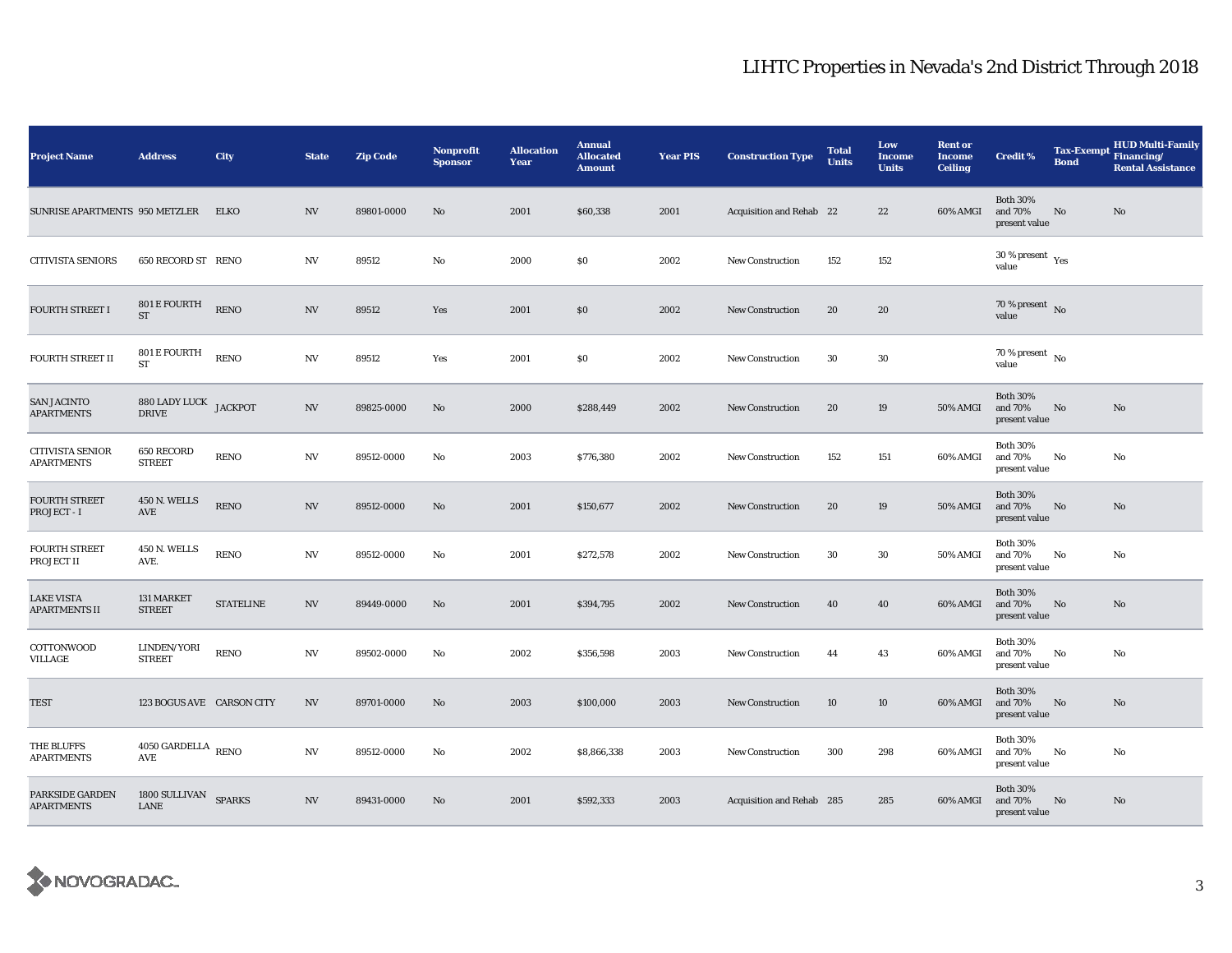| <b>Project Name</b>                          | <b>Address</b>                              | City             | <b>State</b>             | <b>Zip Code</b> | Nonprofit<br><b>Sponsor</b> | <b>Allocation</b><br>Year | <b>Annual</b><br><b>Allocated</b><br><b>Amount</b> | <b>Year PIS</b> | <b>Construction Type</b>  | <b>Total</b><br><b>Units</b> | Low<br><b>Income</b><br><b>Units</b> | <b>Rent or</b><br><b>Income</b><br><b>Ceiling</b> | <b>Credit %</b>                             | Tax-Exempt Financing/<br><b>Bond</b> | <b>HUD Multi-Family</b><br><b>Rental Assistance</b> |
|----------------------------------------------|---------------------------------------------|------------------|--------------------------|-----------------|-----------------------------|---------------------------|----------------------------------------------------|-----------------|---------------------------|------------------------------|--------------------------------------|---------------------------------------------------|---------------------------------------------|--------------------------------------|-----------------------------------------------------|
| SUNRISE APARTMENTS 950 METZLER               |                                             | <b>ELKO</b>      | <b>NV</b>                | 89801-0000      | No                          | 2001                      | \$60,338                                           | 2001            | Acquisition and Rehab 22  |                              | 22                                   | 60% AMGI                                          | <b>Both 30%</b><br>and 70%<br>present value | No                                   | No                                                  |
| <b>CITIVISTA SENIORS</b>                     | 650 RECORD ST RENO                          |                  | NV                       | 89512           | No                          | 2000                      | \$0                                                | 2002            | <b>New Construction</b>   | 152                          | 152                                  |                                                   | $30$ % present $\,$ $\rm Yes$<br>value      |                                      |                                                     |
| <b>FOURTH STREET I</b>                       | 801 E FOURTH<br>$\operatorname{ST}$         | <b>RENO</b>      | <b>NV</b>                | 89512           | Yes                         | 2001                      | \$0                                                | 2002            | New Construction          | 20                           | 20                                   |                                                   | 70 % present $\hbox{~No}$<br>value          |                                      |                                                     |
| <b>FOURTH STREET II</b>                      | 801 E FOURTH<br>ST                          | <b>RENO</b>      | <b>NV</b>                | 89512           | Yes                         | 2001                      | \$0                                                | 2002            | <b>New Construction</b>   | 30                           | 30                                   |                                                   | 70 % present $\hbox{~No}$<br>value          |                                      |                                                     |
| <b>SAN JACINTO</b><br><b>APARTMENTS</b>      | 880 LADY LUCK JACKPOT<br>DRIVE              |                  | <b>NV</b>                | 89825-0000      | No                          | 2000                      | \$288,449                                          | 2002            | New Construction          | 20                           | 19                                   | 50% AMGI                                          | <b>Both 30%</b><br>and 70%<br>present value | No                                   | No                                                  |
| <b>CITIVISTA SENIOR</b><br><b>APARTMENTS</b> | 650 RECORD<br><b>STREET</b>                 | <b>RENO</b>      | <b>NV</b>                | 89512-0000      | No                          | 2003                      | \$776,380                                          | 2002            | New Construction          | 152                          | 151                                  | 60% AMGI                                          | <b>Both 30%</b><br>and 70%<br>present value | No                                   | No                                                  |
| <b>FOURTH STREET</b><br>PROJECT - I          | <b>450 N. WELLS</b><br>$\operatorname{AVE}$ | <b>RENO</b>      | $\ensuremath{\text{NV}}$ | 89512-0000      | No                          | 2001                      | \$150,677                                          | 2002            | <b>New Construction</b>   | 20                           | 19                                   | <b>50% AMGI</b>                                   | <b>Both 30%</b><br>and 70%<br>present value | No                                   | No                                                  |
| <b>FOURTH STREET</b><br>PROJECT II           | <b>450 N. WELLS</b><br>AVE.                 | <b>RENO</b>      | <b>NV</b>                | 89512-0000      | No                          | 2001                      | \$272,578                                          | 2002            | <b>New Construction</b>   | 30                           | 30                                   | 50% AMGI                                          | <b>Both 30%</b><br>and 70%<br>present value | No                                   | No                                                  |
| <b>LAKE VISTA</b><br><b>APARTMENTS II</b>    | 131 MARKET<br><b>STREET</b>                 | <b>STATELINE</b> | $\ensuremath{\text{NV}}$ | 89449-0000      | No                          | 2001                      | \$394,795                                          | 2002            | <b>New Construction</b>   | 40                           | 40                                   | 60% AMGI                                          | <b>Both 30%</b><br>and 70%<br>present value | No                                   | No                                                  |
| COTTONWOOD<br>VILLAGE                        | LINDEN/YORI<br><b>STREET</b>                | <b>RENO</b>      | <b>NV</b>                | 89502-0000      | No                          | 2002                      | \$356,598                                          | 2003            | <b>New Construction</b>   | 44                           | 43                                   | 60% AMGI                                          | <b>Both 30%</b><br>and 70%<br>present value | No                                   | No                                                  |
| <b>TEST</b>                                  | 123 BOGUS AVE CARSON CITY                   |                  | NV                       | 89701-0000      | No                          | 2003                      | \$100,000                                          | 2003            | <b>New Construction</b>   | 10                           | 10                                   | 60% AMGI                                          | <b>Both 30%</b><br>and 70%<br>present value | No                                   | No                                                  |
| THE BLUFFS<br><b>APARTMENTS</b>              | $4050$ GARDELLA $_{\rm RENO}$<br>AVE        |                  | <b>NV</b>                | 89512-0000      | No                          | 2002                      | \$8,866,338                                        | 2003            | <b>New Construction</b>   | 300                          | 298                                  | 60% AMGI                                          | <b>Both 30%</b><br>and 70%<br>present value | No                                   | No                                                  |
| PARKSIDE GARDEN<br><b>APARTMENTS</b>         | 1800 SULLIVAN SPARKS<br>LANE                |                  | <b>NV</b>                | 89431-0000      | No                          | 2001                      | \$592,333                                          | 2003            | Acquisition and Rehab 285 |                              | 285                                  | 60% AMGI                                          | <b>Both 30%</b><br>and 70%<br>present value | No                                   | No.                                                 |

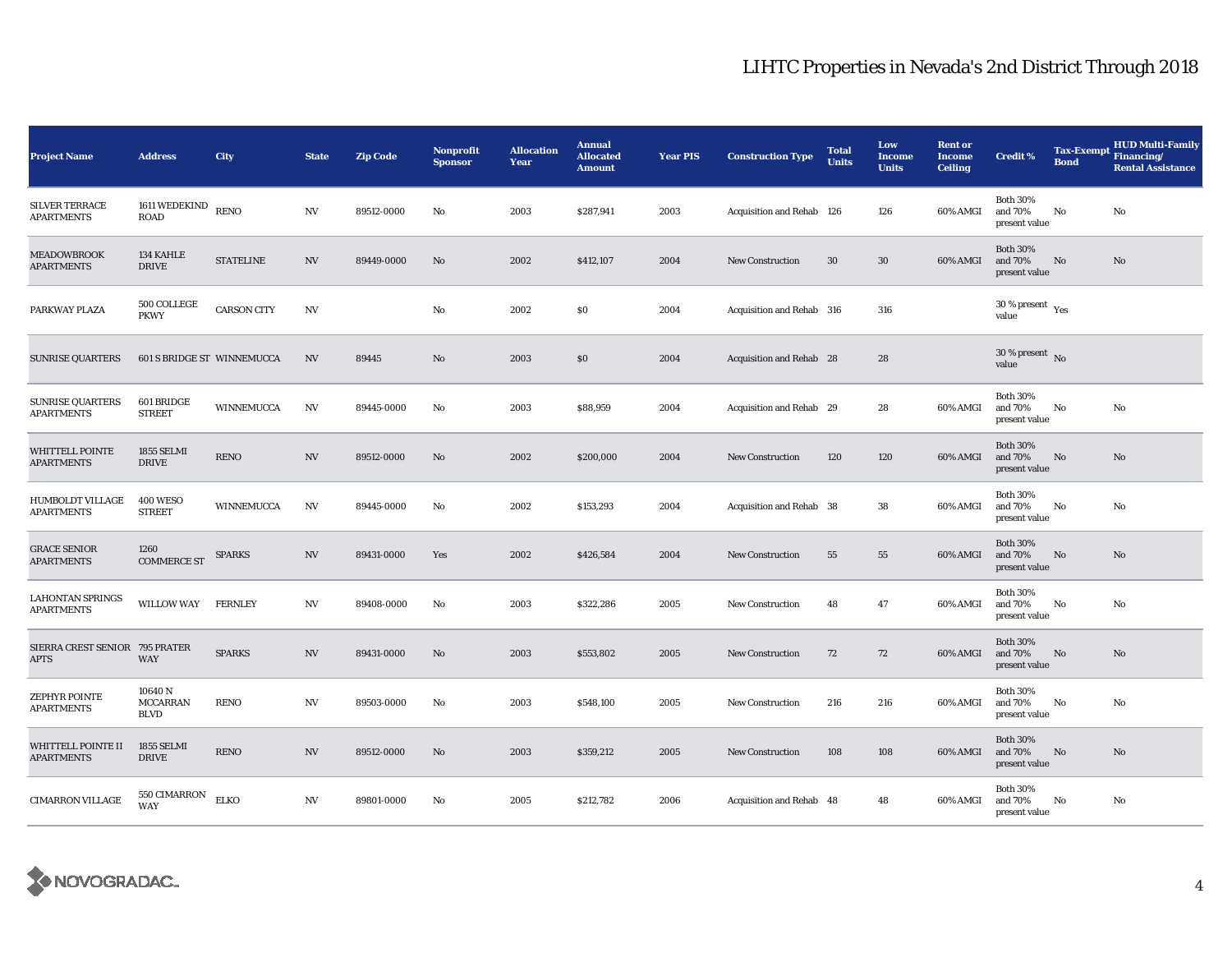| <b>Project Name</b>                           | <b>Address</b>                            | City               | <b>State</b> | <b>Zip Code</b> | <b>Nonprofit</b><br><b>Sponsor</b> | <b>Allocation</b><br>Year | <b>Annual</b><br><b>Allocated</b><br><b>Amount</b> | <b>Year PIS</b> | <b>Construction Type</b>  | <b>Total</b><br><b>Units</b> | Low<br>Income<br><b>Units</b> | <b>Rent or</b><br><b>Income</b><br><b>Ceiling</b> | <b>Credit %</b>                             | <b>Bond</b> | <b>HUD Multi-Family</b><br>Tax-Exempt Financing/<br><b>Rental Assistance</b> |
|-----------------------------------------------|-------------------------------------------|--------------------|--------------|-----------------|------------------------------------|---------------------------|----------------------------------------------------|-----------------|---------------------------|------------------------------|-------------------------------|---------------------------------------------------|---------------------------------------------|-------------|------------------------------------------------------------------------------|
| <b>SILVER TERRACE</b><br><b>APARTMENTS</b>    | 1611 WEDEKIND<br><b>ROAD</b>              | <b>RENO</b>        | N V          | 89512-0000      | No                                 | 2003                      | \$287,941                                          | 2003            | Acquisition and Rehab 126 |                              | 126                           | 60% AMGI                                          | <b>Both 30%</b><br>and 70%<br>present value | No          | No                                                                           |
| <b>MEADOWBROOK</b><br><b>APARTMENTS</b>       | 134 KAHLE<br><b>DRIVE</b>                 | <b>STATELINE</b>   | N V          | 89449-0000      | No                                 | 2002                      | \$412,107                                          | 2004            | <b>New Construction</b>   | 30                           | 30                            | 60% AMGI                                          | <b>Both 30%</b><br>and 70%<br>present value | No          | No                                                                           |
| PARKWAY PLAZA                                 | 500 COLLEGE<br><b>PKWY</b>                | <b>CARSON CITY</b> | N V          |                 | No                                 | 2002                      | \$0                                                | 2004            | Acquisition and Rehab 316 |                              | 316                           |                                                   | 30 % present $\rm\thinspace_{Yes}$<br>value |             |                                                                              |
| <b>SUNRISE QUARTERS</b>                       | 601 S BRIDGE ST WINNEMUCCA                |                    | NV           | 89445           | $\mathbf{N}\mathbf{o}$             | 2003                      | \$0                                                | 2004            | Acquisition and Rehab 28  |                              | 28                            |                                                   | $30$ % present $\,$ No $\,$<br>value        |             |                                                                              |
| <b>SUNRISE QUARTERS</b><br><b>APARTMENTS</b>  | 601 BRIDGE<br><b>STREET</b>               | WINNEMUCCA         | NV           | 89445-0000      | No                                 | 2003                      | \$88,959                                           | 2004            | Acquisition and Rehab 29  |                              | 28                            | 60% AMGI                                          | <b>Both 30%</b><br>and 70%<br>present value | No          | No                                                                           |
| <b>WHITTELL POINTE</b><br><b>APARTMENTS</b>   | <b>1855 SELMI</b><br><b>DRIVE</b>         | <b>RENO</b>        | NV           | 89512-0000      | No                                 | 2002                      | \$200,000                                          | 2004            | <b>New Construction</b>   | 120                          | 120                           | 60% AMGI                                          | <b>Both 30%</b><br>and 70%<br>present value | No          | No                                                                           |
| HUMBOLDT VILLAGE<br><b>APARTMENTS</b>         | <b>400 WESO</b><br><b>STREET</b>          | WINNEMUCCA         | N V          | 89445-0000      | No                                 | 2002                      | \$153,293                                          | 2004            | Acquisition and Rehab 38  |                              | 38                            | 60% AMGI                                          | <b>Both 30%</b><br>and 70%<br>present value | No          | No                                                                           |
| <b>GRACE SENIOR</b><br><b>APARTMENTS</b>      | 1260<br><b>COMMERCE ST</b>                | <b>SPARKS</b>      | N V          | 89431-0000      | Yes                                | 2002                      | \$426,584                                          | 2004            | New Construction          | 55                           | 55                            | 60% AMGI                                          | <b>Both 30%</b><br>and 70%<br>present value | No          | No                                                                           |
| <b>LAHONTAN SPRINGS</b><br><b>APARTMENTS</b>  | <b>WILLOW WAY</b>                         | <b>FERNLEY</b>     | N V          | 89408-0000      | No                                 | 2003                      | \$322,286                                          | 2005            | <b>New Construction</b>   | 48                           | 47                            | 60% AMGI                                          | <b>Both 30%</b><br>and 70%<br>present value | No          | No                                                                           |
| SIERRA CREST SENIOR 795 PRATER<br><b>APTS</b> | <b>WAY</b>                                | <b>SPARKS</b>      | N V          | 89431-0000      | No                                 | 2003                      | \$553,802                                          | 2005            | New Construction          | 72                           | 72                            | 60% AMGI                                          | <b>Both 30%</b><br>and 70%<br>present value | No          | No                                                                           |
| ZEPHYR POINTE<br><b>APARTMENTS</b>            | 10640 N<br><b>MCCARRAN</b><br><b>BLVD</b> | <b>RENO</b>        | N V          | 89503-0000      | No                                 | 2003                      | \$548,100                                          | 2005            | <b>New Construction</b>   | 216                          | 216                           | 60% AMGI                                          | <b>Both 30%</b><br>and 70%<br>present value | No          | No                                                                           |
| WHITTELL POINTE II<br><b>APARTMENTS</b>       | 1855 SELMI<br><b>DRIVE</b>                | <b>RENO</b>        | N V          | 89512-0000      | No                                 | 2003                      | \$359,212                                          | 2005            | <b>New Construction</b>   | 108                          | 108                           | 60% AMGI                                          | <b>Both 30%</b><br>and 70%<br>present value | No          | No                                                                           |
| <b>CIMARRON VILLAGE</b>                       | 550 CIMARRON<br>WAY                       | <b>ELKO</b>        | N V          | 89801-0000      | No                                 | 2005                      | \$212,782                                          | 2006            | Acquisition and Rehab 48  |                              | 48                            | 60% AMGI                                          | <b>Both 30%</b><br>and 70%<br>present value | No          | No                                                                           |

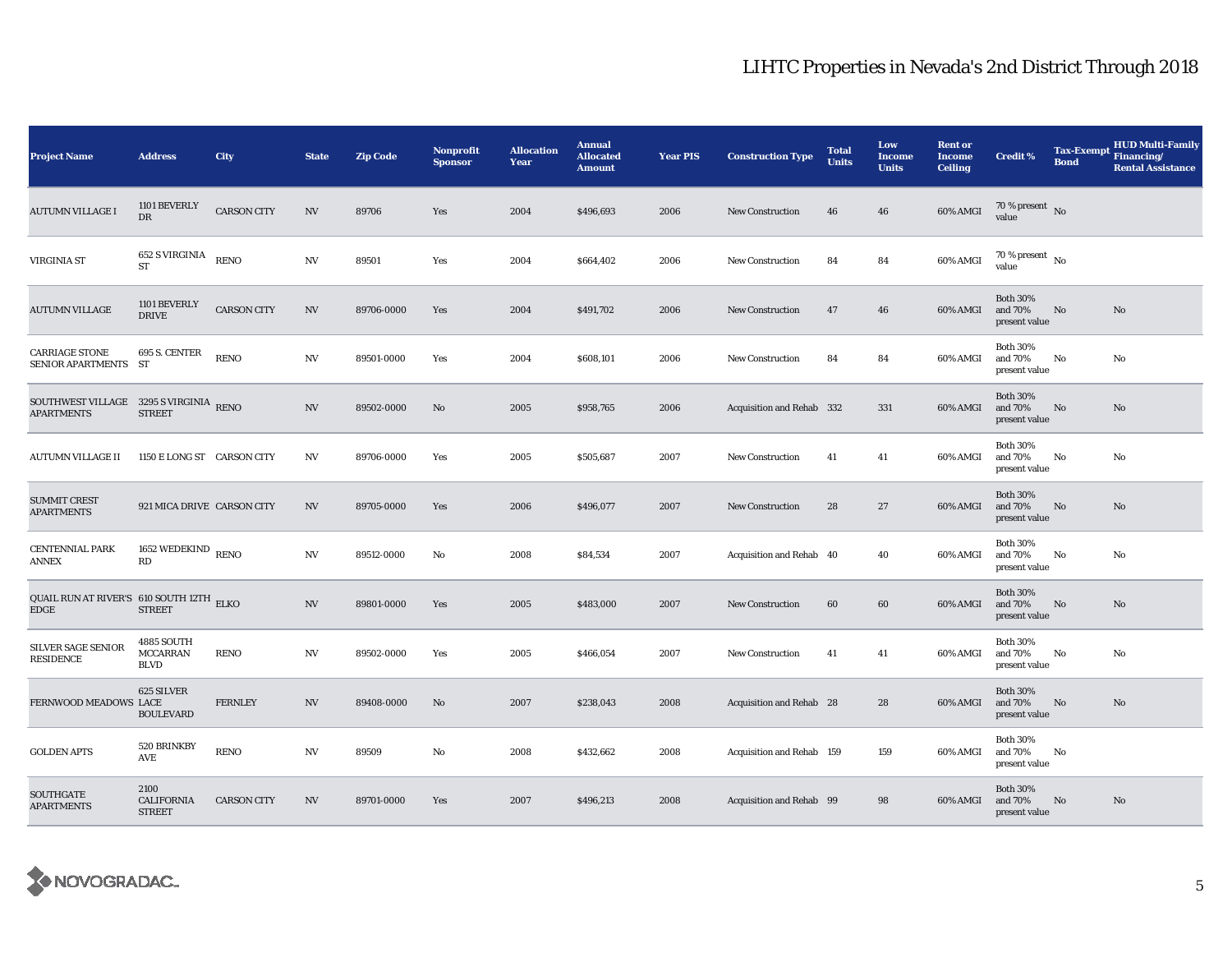| <b>Project Name</b>                                         | <b>Address</b>                               | City               | <b>State</b>             | <b>Zip Code</b> | <b>Nonprofit</b><br><b>Sponsor</b> | <b>Allocation</b><br>Year | <b>Annual</b><br><b>Allocated</b><br><b>Amount</b> | <b>Year PIS</b> | <b>Construction Type</b>  | <b>Total</b><br><b>Units</b> | Low<br><b>Income</b><br><b>Units</b> | <b>Rent or</b><br><b>Income</b><br><b>Ceiling</b> | <b>Credit %</b>                             | <b>Tax-Exempt</b><br><b>Bond</b> | <b>HUD Multi-Family</b><br>Financing/<br><b>Rental Assistance</b> |
|-------------------------------------------------------------|----------------------------------------------|--------------------|--------------------------|-----------------|------------------------------------|---------------------------|----------------------------------------------------|-----------------|---------------------------|------------------------------|--------------------------------------|---------------------------------------------------|---------------------------------------------|----------------------------------|-------------------------------------------------------------------|
| <b>AUTUMN VILLAGE I</b>                                     | 1101 BEVERLY<br>DR                           | <b>CARSON CITY</b> | <b>NV</b>                | 89706           | Yes                                | 2004                      | \$496,693                                          | 2006            | <b>New Construction</b>   | 46                           | 46                                   | 60% AMGI                                          | 70 % present $\bar{N}$<br>value             |                                  |                                                                   |
| VIRGINIA ST                                                 | 652 S VIRGINIA<br><b>ST</b>                  | <b>RENO</b>        | $_{\mathrm{NV}}$         | 89501           | Yes                                | 2004                      | \$664,402                                          | 2006            | <b>New Construction</b>   | 84                           | 84                                   | 60% AMGI                                          | $70$ % present $\,$ No $\,$<br>value        |                                  |                                                                   |
| <b>AUTUMN VILLAGE</b>                                       | 1101 BEVERLY<br><b>DRIVE</b>                 | <b>CARSON CITY</b> | <b>NV</b>                | 89706-0000      | Yes                                | 2004                      | \$491,702                                          | 2006            | <b>New Construction</b>   | 47                           | 46                                   | 60% AMGI                                          | <b>Both 30%</b><br>and 70%<br>present value | No                               | No                                                                |
| <b>CARRIAGE STONE</b><br>SENIOR APARTMENTS ST               | 695 S. CENTER                                | <b>RENO</b>        | NV                       | 89501-0000      | Yes                                | 2004                      | \$608,101                                          | 2006            | <b>New Construction</b>   | 84                           | 84                                   | 60% AMGI                                          | <b>Both 30%</b><br>and 70%<br>present value | No                               | No                                                                |
| SOUTHWEST VILLAGE 3295 S VIRGINIA RENO<br><b>APARTMENTS</b> | <b>STREET</b>                                |                    | NV                       | 89502-0000      | No                                 | 2005                      | \$958,765                                          | 2006            | Acquisition and Rehab 332 |                              | 331                                  | 60% AMGI                                          | <b>Both 30%</b><br>and 70%<br>present value | No                               | No                                                                |
| AUTUMN VILLAGE II                                           | 1150 E LONG ST CARSON CITY                   |                    | <b>NV</b>                | 89706-0000      | Yes                                | 2005                      | \$505,687                                          | 2007            | <b>New Construction</b>   | 41                           | 41                                   | 60% AMGI                                          | <b>Both 30%</b><br>and 70%<br>present value | No                               | No                                                                |
| <b>SUMMIT CREST</b><br><b>APARTMENTS</b>                    | 921 MICA DRIVE CARSON CITY                   |                    | <b>NV</b>                | 89705-0000      | Yes                                | 2006                      | \$496,077                                          | 2007            | New Construction          | 28                           | 27                                   | 60% AMGI                                          | <b>Both 30%</b><br>and 70%<br>present value | No                               | No                                                                |
| <b>CENTENNIAL PARK</b><br>ANNEX                             | 1652 WEDEKIND $_{\rm RENO}$<br>RD            |                    | <b>NV</b>                | 89512-0000      | No                                 | 2008                      | \$84,534                                           | 2007            | Acquisition and Rehab 40  |                              | 40                                   | 60% AMGI                                          | <b>Both 30%</b><br>and 70%<br>present value | No                               | No                                                                |
| <b>QUAIL RUN AT RIVER'S 610 SOUTH 12TH ELKO</b><br>EDGE     | <b>STREET</b>                                |                    | $\ensuremath{\text{NV}}$ | 89801-0000      | Yes                                | 2005                      | \$483,000                                          | 2007            | <b>New Construction</b>   | 60                           | 60                                   | 60% AMGI                                          | <b>Both 30%</b><br>and 70%<br>present value | No                               | No                                                                |
| SILVER SAGE SENIOR<br>RESIDENCE                             | 4885 SOUTH<br><b>MCCARRAN</b><br><b>BLVD</b> | <b>RENO</b>        | <b>NV</b>                | 89502-0000      | Yes                                | 2005                      | \$466,054                                          | 2007            | <b>New Construction</b>   | 41                           | 41                                   | 60% AMGI                                          | <b>Both 30%</b><br>and 70%<br>present value | No                               | No                                                                |
| FERNWOOD MEADOWS LACE                                       | 625 SILVER<br><b>BOULEVARD</b>               | <b>FERNLEY</b>     | <b>NV</b>                | 89408-0000      | No                                 | 2007                      | \$238,043                                          | 2008            | Acquisition and Rehab 28  |                              | 28                                   | 60% AMGI                                          | <b>Both 30%</b><br>and 70%<br>present value | No                               | No                                                                |
| <b>GOLDEN APTS</b>                                          | 520 BRINKBY<br>AVE                           | <b>RENO</b>        | NV                       | 89509           | No                                 | 2008                      | \$432,662                                          | 2008            | Acquisition and Rehab 159 |                              | 159                                  | 60% AMGI                                          | <b>Both 30%</b><br>and 70%<br>present value | No                               |                                                                   |
| SOUTHGATE<br><b>APARTMENTS</b>                              | 2100<br><b>CALIFORNIA</b><br><b>STREET</b>   | <b>CARSON CITY</b> | <b>NV</b>                | 89701-0000      | Yes                                | 2007                      | \$496,213                                          | 2008            | Acquisition and Rehab 99  |                              | 98                                   | 60% AMGI                                          | <b>Both 30%</b><br>and 70%<br>present value | No                               | No                                                                |

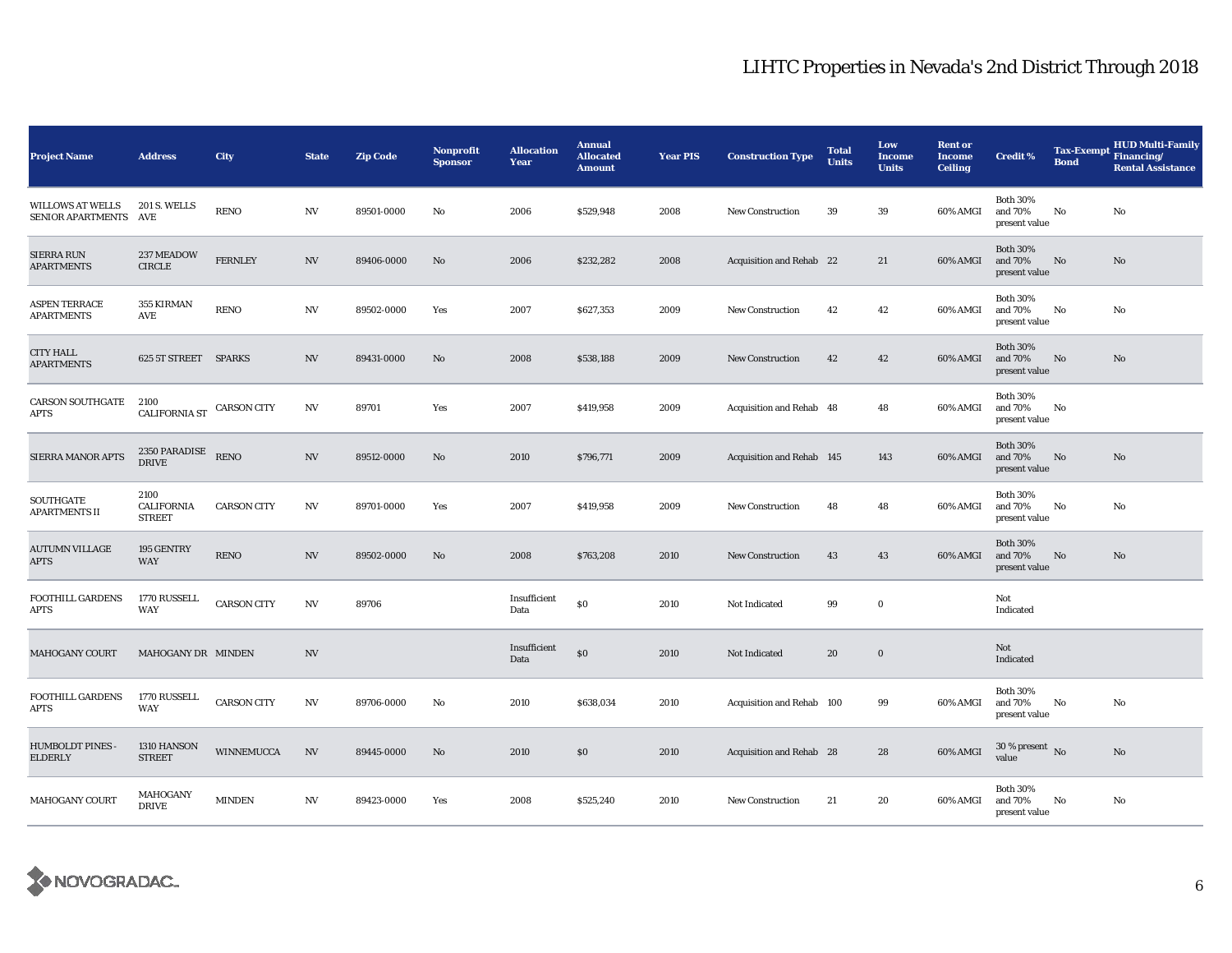| <b>Project Name</b>                          | <b>Address</b>                      | City               | <b>State</b>     | <b>Zip Code</b> | Nonprofit<br><b>Sponsor</b> | <b>Allocation</b><br>Year | <b>Annual</b><br><b>Allocated</b><br><b>Amount</b> | <b>Year PIS</b> | <b>Construction Type</b>  | <b>Total</b><br><b>Units</b> | Low<br><b>Income</b><br><b>Units</b> | <b>Rent or</b><br><b>Income</b><br><b>Ceiling</b> | <b>Credit %</b>                             | <b>Tax-Exempt</b><br><b>Bond</b> | <b>HUD Multi-Family</b><br>Financing/<br><b>Rental Assistance</b> |
|----------------------------------------------|-------------------------------------|--------------------|------------------|-----------------|-----------------------------|---------------------------|----------------------------------------------------|-----------------|---------------------------|------------------------------|--------------------------------------|---------------------------------------------------|---------------------------------------------|----------------------------------|-------------------------------------------------------------------|
| <b>WILLOWS AT WELLS</b><br>SENIOR APARTMENTS | <b>201 S. WELLS</b><br>AVE          | <b>RENO</b>        | $_{\mathrm{NV}}$ | 89501-0000      | No                          | 2006                      | \$529,948                                          | 2008            | <b>New Construction</b>   | 39                           | 39                                   | 60% AMGI                                          | <b>Both 30%</b><br>and 70%<br>present value | $\rm No$                         | No                                                                |
| <b>SIERRA RUN</b><br><b>APARTMENTS</b>       | 237 MEADOW<br><b>CIRCLE</b>         | <b>FERNLEY</b>     | $_{\mathrm{NV}}$ | 89406-0000      | No                          | 2006                      | \$232,282                                          | 2008            | Acquisition and Rehab 22  |                              | 21                                   | 60% AMGI                                          | <b>Both 30%</b><br>and 70%<br>present value | No                               | No                                                                |
| <b>ASPEN TERRACE</b><br><b>APARTMENTS</b>    | 355 KIRMAN<br>AVE                   | <b>RENO</b>        | N V              | 89502-0000      | Yes                         | 2007                      | \$627,353                                          | 2009            | <b>New Construction</b>   | 42                           | 42                                   | 60% AMGI                                          | <b>Both 30%</b><br>and 70%<br>present value | No                               | No                                                                |
| <b>CITY HALL</b><br><b>APARTMENTS</b>        | 625 5T STREET SPARKS                |                    | NV               | 89431-0000      | No                          | 2008                      | \$538,188                                          | 2009            | <b>New Construction</b>   | 42                           | 42                                   | 60% AMGI                                          | <b>Both 30%</b><br>and 70%<br>present value | $\mathbf{N}\mathbf{o}$           | No                                                                |
| <b>CARSON SOUTHGATE</b><br>APTS              | 2100<br><b>CALIFORNIA ST</b>        | <b>CARSON CITY</b> | <b>NV</b>        | 89701           | Yes                         | 2007                      | \$419,958                                          | 2009            | Acquisition and Rehab 48  |                              | 48                                   | 60% AMGI                                          | <b>Both 30%</b><br>and 70%<br>present value | No                               |                                                                   |
| SIERRA MANOR APTS                            | 2350 PARADISE<br><b>DRIVE</b>       | <b>RENO</b>        | $_{\mathrm{NV}}$ | 89512-0000      | No                          | 2010                      | \$796,771                                          | 2009            | Acquisition and Rehab 145 |                              | 143                                  | 60% AMGI                                          | <b>Both 30%</b><br>and 70%<br>present value | No                               | No                                                                |
| SOUTHGATE<br><b>APARTMENTS II</b>            | 2100<br>CALIFORNIA<br><b>STREET</b> | <b>CARSON CITY</b> | NV               | 89701-0000      | Yes                         | 2007                      | \$419,958                                          | 2009            | <b>New Construction</b>   | 48                           | 48                                   | 60% AMGI                                          | <b>Both 30%</b><br>and 70%<br>present value | No                               | No                                                                |
| <b>AUTUMN VILLAGE</b><br>APTS                | 195 GENTRY<br><b>WAY</b>            | <b>RENO</b>        | $_{\mathrm{NV}}$ | 89502-0000      | No                          | 2008                      | \$763,208                                          | 2010            | <b>New Construction</b>   | 43                           | 43                                   | 60% AMGI                                          | <b>Both 30%</b><br>and 70%<br>present value | $\mathbf{N}\mathbf{o}$           | No                                                                |
| <b>FOOTHILL GARDENS</b><br>APTS              | 1770 RUSSELL<br>WAY                 | <b>CARSON CITY</b> | $_{\mathrm{NV}}$ | 89706           |                             | Insufficient<br>Data      | \$0                                                | 2010            | Not Indicated             | 99                           | $\bf{0}$                             |                                                   | Not<br>Indicated                            |                                  |                                                                   |
| MAHOGANY COURT                               | MAHOGANY DR MINDEN                  |                    | <b>NV</b>        |                 |                             | Insufficient<br>Data      | \$0                                                | 2010            | Not Indicated             | 20                           | $\mathbf 0$                          |                                                   | Not<br>Indicated                            |                                  |                                                                   |
| FOOTHILL GARDENS<br>APTS                     | 1770 RUSSELL<br>WAY                 | <b>CARSON CITY</b> | NV               | 89706-0000      | No                          | 2010                      | \$638,034                                          | 2010            | Acquisition and Rehab 100 |                              | 99                                   | 60% AMGI                                          | <b>Both 30%</b><br>and 70%<br>present value | No                               | No                                                                |
| <b>HUMBOLDT PINES -</b><br><b>ELDERLY</b>    | 1310 HANSON<br><b>STREET</b>        | <b>WINNEMUCCA</b>  | NV               | 89445-0000      | No                          | 2010                      | \$0                                                | 2010            | Acquisition and Rehab 28  |                              | 28                                   | 60% AMGI                                          | $30$ % present $\,$ No $\,$<br>value        |                                  | No                                                                |
| <b>MAHOGANY COURT</b>                        | MAHOGANY<br><b>DRIVE</b>            | <b>MINDEN</b>      | NV               | 89423-0000      | Yes                         | 2008                      | \$525,240                                          | 2010            | <b>New Construction</b>   | 21                           | 20                                   | 60% AMGI                                          | <b>Both 30%</b><br>and 70%<br>present value | No                               | No                                                                |

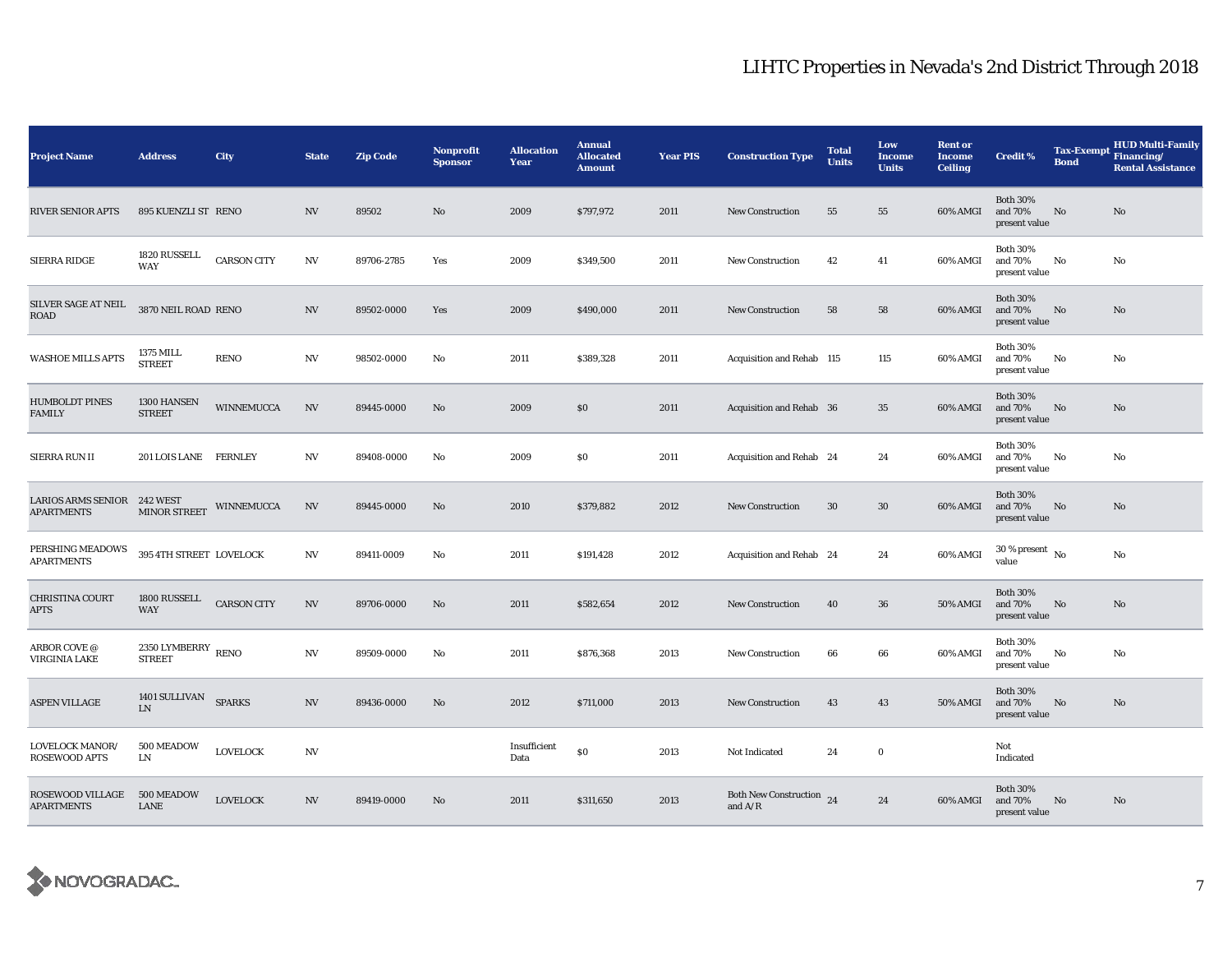| <b>Project Name</b>                              | <b>Address</b>                      | City               | <b>State</b>             | <b>Zip Code</b> | <b>Nonprofit</b><br><b>Sponsor</b> | <b>Allocation</b><br>Year | <b>Annual</b><br><b>Allocated</b><br><b>Amount</b> | <b>Year PIS</b> | <b>Construction Type</b>              | <b>Total</b><br><b>Units</b> | Low<br><b>Income</b><br><b>Units</b> | <b>Rent or</b><br><b>Income</b><br><b>Ceiling</b> | <b>Credit %</b>                             | <b>Tax-Exempt</b><br><b>Bond</b> | <b>HUD Multi-Family</b><br>Financing/<br><b>Rental Assistance</b> |
|--------------------------------------------------|-------------------------------------|--------------------|--------------------------|-----------------|------------------------------------|---------------------------|----------------------------------------------------|-----------------|---------------------------------------|------------------------------|--------------------------------------|---------------------------------------------------|---------------------------------------------|----------------------------------|-------------------------------------------------------------------|
| RIVER SENIOR APTS                                | 895 KUENZLI ST RENO                 |                    | <b>NV</b>                | 89502           | $\mathbf{N}\mathbf{o}$             | 2009                      | \$797,972                                          | 2011            | New Construction                      | 55                           | 55                                   | 60% AMGI                                          | <b>Both 30%</b><br>and 70%<br>present value | No                               | No                                                                |
| SIERRA RIDGE                                     | 1820 RUSSELL<br>WAY                 | <b>CARSON CITY</b> | NV                       | 89706-2785      | Yes                                | 2009                      | \$349,500                                          | 2011            | <b>New Construction</b>               | 42                           | 41                                   | 60% AMGI                                          | <b>Both 30%</b><br>and 70%<br>present value | No                               | No                                                                |
| SILVER SAGE AT NEIL<br><b>ROAD</b>               | 3870 NEIL ROAD RENO                 |                    | <b>NV</b>                | 89502-0000      | Yes                                | 2009                      | \$490,000                                          | 2011            | <b>New Construction</b>               | 58                           | 58                                   | 60% AMGI                                          | <b>Both 30%</b><br>and 70%<br>present value | No                               | No                                                                |
| WASHOE MILLS APTS                                | 1375 MILL<br><b>STREET</b>          | <b>RENO</b>        | NV                       | 98502-0000      | No                                 | 2011                      | \$389,328                                          | 2011            | Acquisition and Rehab 115             |                              | 115                                  | 60% AMGI                                          | <b>Both 30%</b><br>and 70%<br>present value | No                               | No                                                                |
| <b>HUMBOLDT PINES</b><br><b>FAMILY</b>           | 1300 HANSEN<br><b>STREET</b>        | <b>WINNEMUCCA</b>  | NV                       | 89445-0000      | No                                 | 2009                      | $\$0$                                              | 2011            | Acquisition and Rehab 36              |                              | 35                                   | 60% AMGI                                          | <b>Both 30%</b><br>and 70%<br>present value | No                               | No                                                                |
| SIERRA RUN II                                    | 201 LOIS LANE FERNLEY               |                    | <b>NV</b>                | 89408-0000      | No                                 | 2009                      | S <sub>0</sub>                                     | 2011            | Acquisition and Rehab 24              |                              | 24                                   | 60% AMGI                                          | <b>Both 30%</b><br>and 70%<br>present value | No                               | No                                                                |
| LARIOS ARMS SENIOR 242 WEST<br><b>APARTMENTS</b> | MINOR STREET                        | WINNEMUCCA         | NV                       | 89445-0000      | No                                 | 2010                      | \$379,882                                          | 2012            | New Construction                      | 30                           | $30\,$                               | 60% AMGI                                          | <b>Both 30%</b><br>and 70%<br>present value | No                               | No                                                                |
| PERSHING MEADOWS<br><b>APARTMENTS</b>            | 395 4TH STREET LOVELOCK             |                    | <b>NV</b>                | 89411-0009      | No                                 | 2011                      | \$191,428                                          | 2012            | Acquisition and Rehab 24              |                              | 24                                   | 60% AMGI                                          | $30$ % present $\,$ No $\,$<br>value        |                                  | No                                                                |
| <b>CHRISTINA COURT</b><br>APTS                   | 1800 RUSSELL<br><b>WAY</b>          | <b>CARSON CITY</b> | $\ensuremath{\text{NV}}$ | 89706-0000      | No                                 | 2011                      | \$582,654                                          | 2012            | <b>New Construction</b>               | 40                           | 36                                   | <b>50% AMGI</b>                                   | <b>Both 30%</b><br>and 70%<br>present value | No                               | No                                                                |
| ARBOR COVE @<br>VIRGINIA LAKE                    | 2350 LYMBERRY RENO<br><b>STREET</b> |                    | $_{\mathrm{NV}}$         | 89509-0000      | No                                 | 2011                      | \$876,368                                          | 2013            | <b>New Construction</b>               | 66                           | 66                                   | 60% AMGI                                          | <b>Both 30%</b><br>and 70%<br>present value | No                               | No                                                                |
| <b>ASPEN VILLAGE</b>                             | 1401 SULLIVAN SPARKS<br>LN          |                    | $_{\mathrm{NV}}$         | 89436-0000      | No                                 | 2012                      | \$711,000                                          | 2013            | <b>New Construction</b>               | 43                           | 43                                   | 50% AMGI                                          | <b>Both 30%</b><br>and 70%<br>present value | No                               | No                                                                |
| <b>LOVELOCK MANOR/</b><br>ROSEWOOD APTS          | 500 MEADOW<br>LN                    | <b>LOVELOCK</b>    | NV                       |                 |                                    | Insufficient<br>Data      | S <sub>0</sub>                                     | 2013            | Not Indicated                         | 24                           | $\bf{0}$                             |                                                   | Not<br>Indicated                            |                                  |                                                                   |
| ROSEWOOD VILLAGE<br><b>APARTMENTS</b>            | 500 MEADOW<br>LANE                  | <b>LOVELOCK</b>    | <b>NV</b>                | 89419-0000      | No                                 | 2011                      | \$311,650                                          | 2013            | Both New Construction 24<br>and $A/R$ |                              | 24                                   | 60% AMGI                                          | <b>Both 30%</b><br>and 70%<br>present value | No                               | No                                                                |

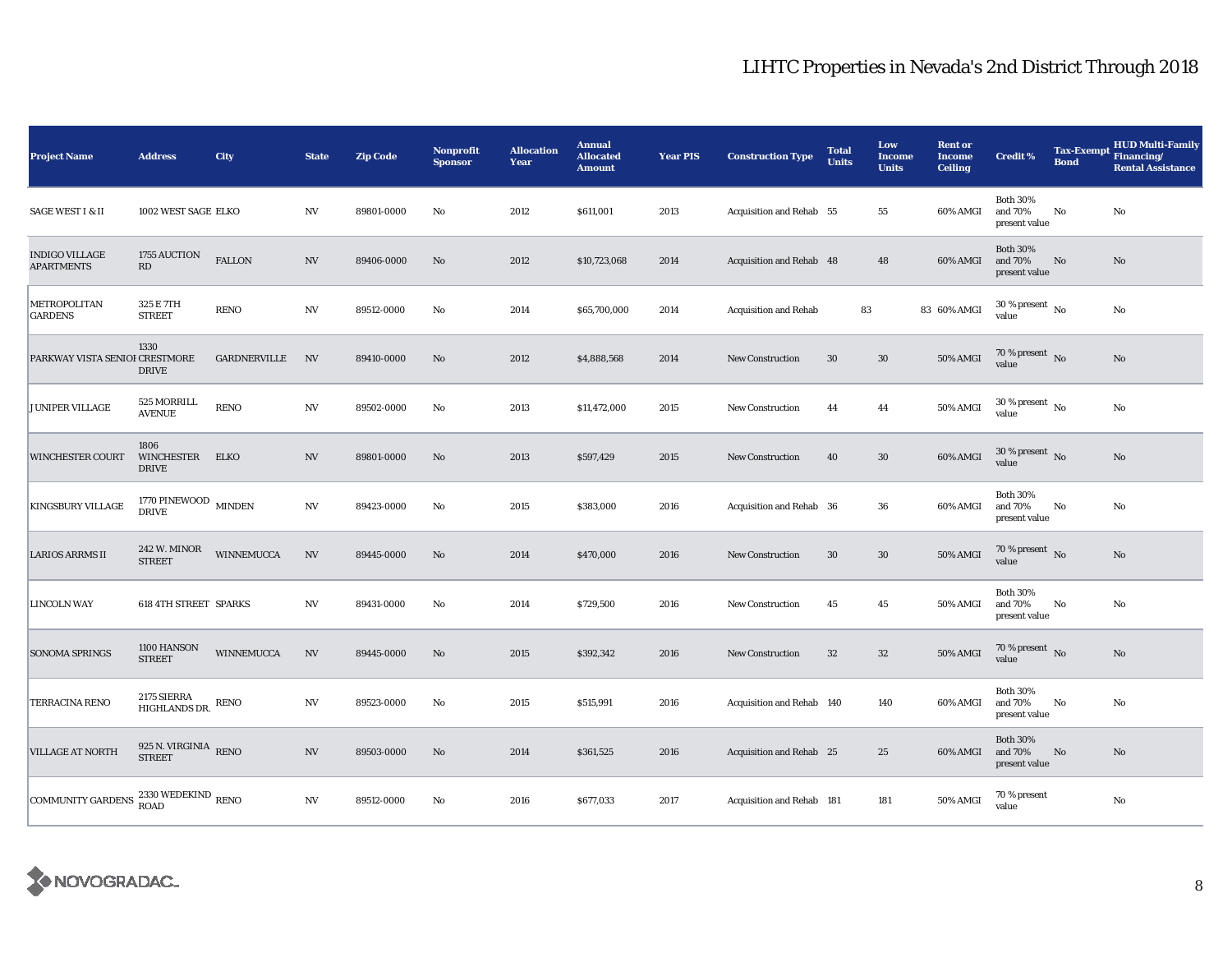| <b>Project Name</b>                        | <b>Address</b>                            | <b>City</b>       | <b>State</b>             | <b>Zip Code</b> | Nonprofit<br><b>Sponsor</b> | <b>Allocation</b><br>Year | <b>Annual</b><br><b>Allocated</b><br><b>Amount</b> | <b>Year PIS</b> | <b>Construction Type</b>     | <b>Total</b><br><b>Units</b> | Low<br><b>Income</b><br><b>Units</b> | <b>Rent or</b><br><b>Income</b><br><b>Ceiling</b> | <b>Credit %</b>                             | <b>Bond</b> | <b>HUD Multi-Family</b><br>Tax-Exempt Financing/<br><b>Rental Assistance</b> |
|--------------------------------------------|-------------------------------------------|-------------------|--------------------------|-----------------|-----------------------------|---------------------------|----------------------------------------------------|-----------------|------------------------------|------------------------------|--------------------------------------|---------------------------------------------------|---------------------------------------------|-------------|------------------------------------------------------------------------------|
| <b>SAGE WEST I &amp; II</b>                | 1002 WEST SAGE ELKO                       |                   | NV                       | 89801-0000      | No                          | 2012                      | \$611,001                                          | 2013            | Acquisition and Rehab 55     |                              | 55                                   | 60% AMGI                                          | <b>Both 30%</b><br>and 70%<br>present value | No          | No                                                                           |
| <b>INDIGO VILLAGE</b><br><b>APARTMENTS</b> | 1755 AUCTION<br>RD                        | <b>FALLON</b>     | $_{\mathrm{NV}}$         | 89406-0000      | $\mathbf{N}\mathbf{o}$      | 2012                      | \$10,723,068                                       | 2014            | Acquisition and Rehab 48     |                              | 48                                   | 60% AMGI                                          | <b>Both 30%</b><br>and 70%<br>present value | No          | No                                                                           |
| METROPOLITAN<br><b>GARDENS</b>             | 325 E 7TH<br><b>STREET</b>                | <b>RENO</b>       | $_{\mathrm{NV}}$         | 89512-0000      | No                          | 2014                      | \$65,700,000                                       | 2014            | <b>Acquisition and Rehab</b> | 83                           |                                      | 83 60% AMGI                                       | $30$ % present $\,$ No $\,$<br>value        |             | No                                                                           |
| PARKWAY VISTA SENIOI CRESTMORE             | 1330<br><b>DRIVE</b>                      | GARDNERVILLE      | $N$ V                    | 89410-0000      | No                          | 2012                      | \$4,888,568                                        | 2014            | <b>New Construction</b>      | 30                           | $30\,$                               | 50% AMGI                                          | 70 % present $\,$ No $\,$<br>value          |             | No                                                                           |
| JUNIPER VILLAGE                            | 525 MORRILL<br><b>AVENUE</b>              | <b>RENO</b>       | $_{\mathrm{NV}}$         | 89502-0000      | No                          | 2013                      | \$11,472,000                                       | 2015            | <b>New Construction</b>      | 44                           | 44                                   | 50% AMGI                                          | $30$ % present $\,$ No $\,$<br>value        |             | No                                                                           |
| <b>WINCHESTER COURT</b>                    | 1806<br><b>WINCHESTER</b><br><b>DRIVE</b> | ELKO              | $_{\mathrm{NV}}$         | 89801-0000      | No                          | 2013                      | \$597,429                                          | 2015            | <b>New Construction</b>      | 40                           | $30\,$                               | 60% AMGI                                          | $30\,\%$ present $\,$ No value              |             | No                                                                           |
| <b>KINGSBURY VILLAGE</b>                   | $1770$ PINEWOOD $\,$ MINDEN DRIVE         |                   | $_{\mathrm{NV}}$         | 89423-0000      | No                          | 2015                      | \$383,000                                          | 2016            | Acquisition and Rehab 36     |                              | 36                                   | 60% AMGI                                          | <b>Both 30%</b><br>and 70%<br>present value | No          | No                                                                           |
| <b>LARIOS ARRMS II</b>                     | 242 W. MINOR<br><b>STREET</b>             | <b>WINNEMUCCA</b> | $\ensuremath{\text{NV}}$ | 89445-0000      | No                          | 2014                      | \$470,000                                          | 2016            | <b>New Construction</b>      | 30                           | $30\,$                               | 50% AMGI                                          | 70 % present $\,$ No $\,$<br>value          |             | No                                                                           |
| <b>LINCOLN WAY</b>                         | <b>618 4TH STREET SPARKS</b>              |                   | NV                       | 89431-0000      | No                          | 2014                      | \$729,500                                          | 2016            | New Construction             | 45                           | 45                                   | 50% AMGI                                          | <b>Both 30%</b><br>and 70%<br>present value | No          | No                                                                           |
| <b>SONOMA SPRINGS</b>                      | 1100 HANSON<br><b>STREET</b>              | WINNEMUCCA        | $\ensuremath{\text{NV}}$ | 89445-0000      | $\mathbf{N}\mathbf{o}$      | 2015                      | \$392,342                                          | 2016            | <b>New Construction</b>      | 32                           | $32\,$                               | 50% AMGI                                          | 70 % present $\sqrt{\ }$ No<br>value        |             | $\mathbf{No}$                                                                |
| TERRACINA RENO                             | 2175 SIERRA<br>HIGHLANDS DR.              | <b>RENO</b>       | $_{\mathrm{NV}}$         | 89523-0000      | No                          | 2015                      | \$515,991                                          | 2016            | Acquisition and Rehab 140    |                              | 140                                  | 60% AMGI                                          | <b>Both 30%</b><br>and 70%<br>present value | No          | No                                                                           |
| <b>VILLAGE AT NORTH</b>                    | 925 N. VIRGINIA $$\,\rm{RENO}$$           |                   | $\ensuremath{\text{NV}}$ | 89503-0000      | $\mathbf{No}$               | 2014                      | \$361,525                                          | 2016            | Acquisition and Rehab 25     |                              | 25                                   | 60% AMGI                                          | <b>Both 30%</b><br>and 70%<br>present value | No          | No                                                                           |
| <b>COMMUNITY GARDENS</b>                   | 2330 WEDEKIND $_{\rm RENO}$<br>ROAD       |                   | $_{\mathrm{NV}}$         | 89512-0000      | No                          | 2016                      | \$677,033                                          | 2017            | Acquisition and Rehab 181    |                              | 181                                  | 50% AMGI                                          | 70 % present<br>value                       |             | No                                                                           |

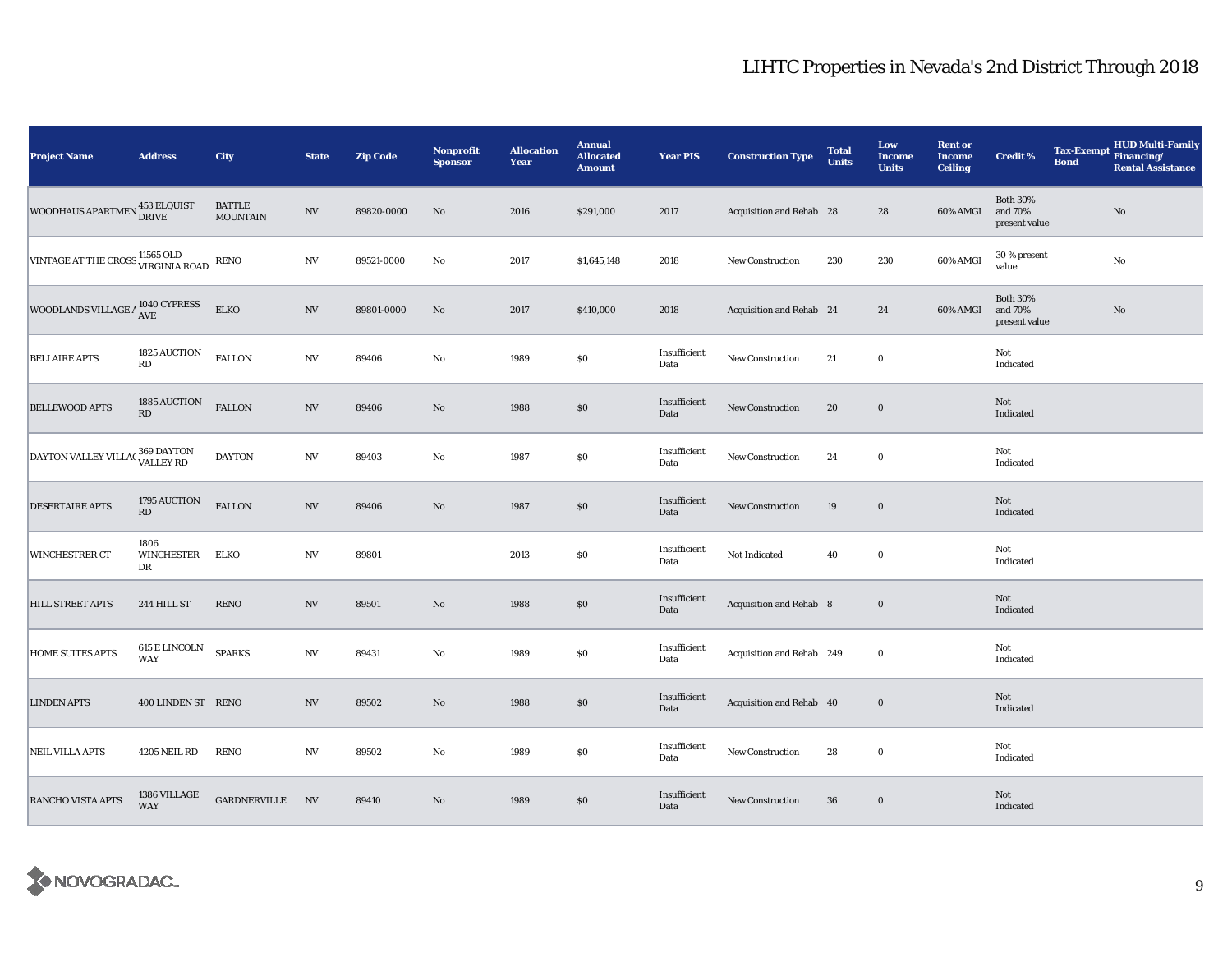| <b>Project Name</b>                 | <b>Address</b>                         | City                             | <b>State</b>             | <b>Zip Code</b> | <b>Nonprofit</b><br><b>Sponsor</b> | <b>Allocation</b><br>Year | <b>Annual</b><br><b>Allocated</b><br><b>Amount</b> | <b>Year PIS</b>      | <b>Construction Type</b>  | <b>Total</b><br><b>Units</b> | Low<br><b>Income</b><br><b>Units</b> | <b>Rent or</b><br><b>Income</b><br><b>Ceiling</b> | Credit %                                    | <b>Tax-Exempt</b><br><b>Bond</b> | <b>HUD Multi-Family</b><br>Financing/<br><b>Rental Assistance</b> |
|-------------------------------------|----------------------------------------|----------------------------------|--------------------------|-----------------|------------------------------------|---------------------------|----------------------------------------------------|----------------------|---------------------------|------------------------------|--------------------------------------|---------------------------------------------------|---------------------------------------------|----------------------------------|-------------------------------------------------------------------|
| WOODHAUS APARTMEN 453 ELQUIST       |                                        | <b>BATTLE</b><br><b>MOUNTAIN</b> | <b>NV</b>                | 89820-0000      | No                                 | 2016                      | \$291,000                                          | 2017                 | Acquisition and Rehab 28  |                              | 28                                   | 60% AMGI                                          | <b>Both 30%</b><br>and 70%<br>present value |                                  | $\mathbf{No}$                                                     |
| VINTAGE AT THE CROSS 11565 OLD RENO |                                        |                                  | $\ensuremath{\text{NV}}$ | 89521-0000      | No                                 | 2017                      | \$1,645,148                                        | 2018                 | New Construction          | 230                          | 230                                  | 60% AMGI                                          | 30 % present<br>value                       |                                  | $\rm No$                                                          |
| WOODLANDS VILLAGE A 1040 CYPRESS    |                                        | <b>ELKO</b>                      | $\ensuremath{\text{NV}}$ | 89801-0000      | No                                 | 2017                      | \$410,000                                          | 2018                 | Acquisition and Rehab 24  |                              | 24                                   | 60% AMGI                                          | <b>Both 30%</b><br>and 70%<br>present value |                                  | $\mathbf{No}$                                                     |
| <b>BELLAIRE APTS</b>                | 1825 AUCTION<br>$\mathbf{R}\mathbf{D}$ | <b>FALLON</b>                    | $\ensuremath{\text{NV}}$ | 89406           | $\rm No$                           | 1989                      | \$0                                                | Insufficient<br>Data | New Construction          | 21                           | $\bf{0}$                             |                                                   | Not<br>Indicated                            |                                  |                                                                   |
| <b>BELLEWOOD APTS</b>               | 1885 AUCTION<br>RD                     | <b>FALLON</b>                    | $\ensuremath{\text{NV}}$ | 89406           | $\rm No$                           | 1988                      | $\$0$                                              | Insufficient<br>Data | New Construction          | 20                           | $\bf{0}$                             |                                                   | Not<br>Indicated                            |                                  |                                                                   |
| DAYTON VALLEY VILLAC 369 DAYTON     |                                        | <b>DAYTON</b>                    | $\ensuremath{\text{NV}}$ | 89403           | $\rm No$                           | 1987                      | $\$0$                                              | Insufficient<br>Data | New Construction          | 24                           | $\bf{0}$                             |                                                   | Not<br>Indicated                            |                                  |                                                                   |
| <b>DESERTAIRE APTS</b>              | 1795 AUCTION<br>RD                     | <b>FALLON</b>                    | $\mathbf{N}\mathbf{V}$   | 89406           | $\rm No$                           | 1987                      | \$0                                                | Insufficient<br>Data | New Construction          | 19                           | $\bf{0}$                             |                                                   | Not<br>Indicated                            |                                  |                                                                   |
| <b>WINCHESTRER CT</b>               | 1806<br><b>WINCHESTER</b><br>DR        | <b>ELKO</b>                      | $_{\mathrm{NV}}$         | 89801           |                                    | 2013                      | $\$0$                                              | Insufficient<br>Data | Not Indicated             | 40                           | $\bf{0}$                             |                                                   | Not<br>Indicated                            |                                  |                                                                   |
| <b>HILL STREET APTS</b>             | 244 HILL ST                            | <b>RENO</b>                      | $_{\mathrm{NV}}$         | 89501           | $\rm No$                           | 1988                      | \$0                                                | Insufficient<br>Data | Acquisition and Rehab 8   |                              | $\bf{0}$                             |                                                   | Not<br>Indicated                            |                                  |                                                                   |
| <b>HOME SUITES APTS</b>             | 615 E LINCOLN<br><b>WAY</b>            | <b>SPARKS</b>                    | N V                      | 89431           | No                                 | 1989                      | \$0                                                | Insufficient<br>Data | Acquisition and Rehab 249 |                              | $\bf{0}$                             |                                                   | Not<br>Indicated                            |                                  |                                                                   |
| <b>LINDEN APTS</b>                  | 400 LINDEN ST RENO                     |                                  | NV                       | 89502           | No                                 | 1988                      | \$0                                                | Insufficient<br>Data | Acquisition and Rehab 40  |                              | $\bf{0}$                             |                                                   | Not<br>Indicated                            |                                  |                                                                   |
| <b>NEIL VILLA APTS</b>              | <b>4205 NEIL RD</b>                    | <b>RENO</b>                      | $\ensuremath{\text{NV}}$ | 89502           | $\mathbf {No}$                     | 1989                      | \$0                                                | Insufficient<br>Data | New Construction          | 28                           | $\bf{0}$                             |                                                   | Not<br>Indicated                            |                                  |                                                                   |
| <b>RANCHO VISTA APTS</b>            | 1386 VILLAGE<br><b>WAY</b>             | GARDNERVILLE NV                  |                          | 89410           | $\rm No$                           | 1989                      | $\$0$                                              | Insufficient<br>Data | New Construction          | ${\bf 36}$                   | $\bf{0}$                             |                                                   | Not<br>Indicated                            |                                  |                                                                   |

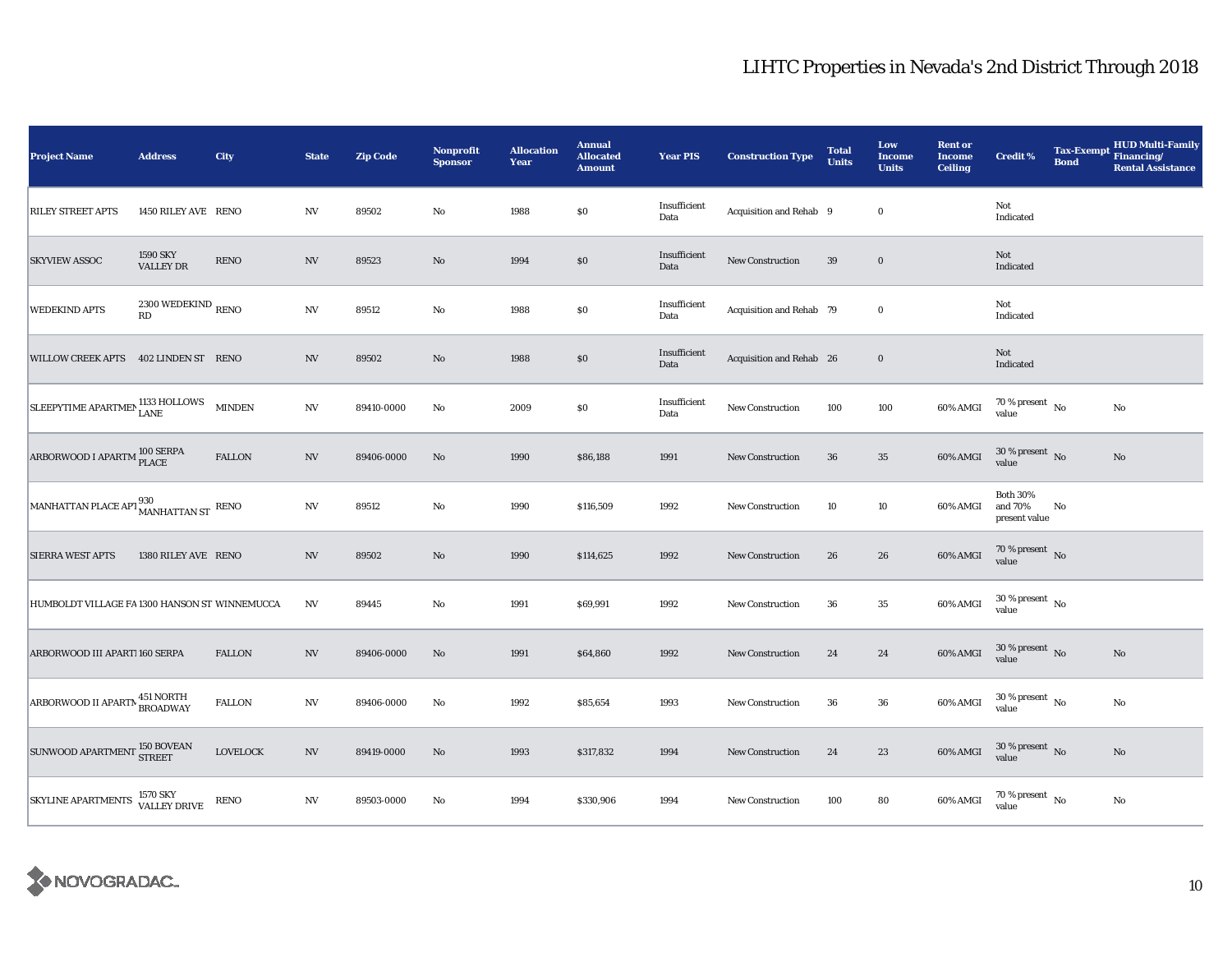| <b>Project Name</b>                                                                                                                                                  | <b>Address</b>                      | City            | <b>State</b>             | <b>Zip Code</b> | Nonprofit<br><b>Sponsor</b> | <b>Allocation</b><br>Year | <b>Annual</b><br><b>Allocated</b><br><b>Amount</b> | <b>Year PIS</b>      | <b>Construction Type</b> | <b>Total</b><br><b>Units</b> | Low<br><b>Income</b><br><b>Units</b> | <b>Rent or</b><br><b>Income</b><br><b>Ceiling</b> | <b>Credit %</b>                             | <b>Tax-Exempt</b><br><b>Bond</b> | <b>HUD Multi-Family</b><br>Financing/<br><b>Rental Assistance</b> |
|----------------------------------------------------------------------------------------------------------------------------------------------------------------------|-------------------------------------|-----------------|--------------------------|-----------------|-----------------------------|---------------------------|----------------------------------------------------|----------------------|--------------------------|------------------------------|--------------------------------------|---------------------------------------------------|---------------------------------------------|----------------------------------|-------------------------------------------------------------------|
| <b>RILEY STREET APTS</b>                                                                                                                                             | 1450 RILEY AVE RENO                 |                 | NV                       | 89502           | $\mathbf {No}$              | 1988                      | \$0                                                | Insufficient<br>Data | Acquisition and Rehab 9  |                              | $\bf{0}$                             |                                                   | Not<br>Indicated                            |                                  |                                                                   |
| <b>SKYVIEW ASSOC</b>                                                                                                                                                 | <b>1590 SKY</b><br><b>VALLEY DR</b> | <b>RENO</b>     | $_{\mathrm{NV}}$         | 89523           | $\rm No$                    | 1994                      | $\$0$                                              | Insufficient<br>Data | <b>New Construction</b>  | 39                           | $\bf{0}$                             |                                                   | Not<br>Indicated                            |                                  |                                                                   |
| <b>WEDEKIND APTS</b>                                                                                                                                                 | 2300 WEDEKIND $_{\rm RENO}$<br>RD   |                 | $_{\mathrm{NV}}$         | 89512           | $\mathbf{No}$               | 1988                      | \$0                                                | Insufficient<br>Data | Acquisition and Rehab 79 |                              | $\bf{0}$                             |                                                   | Not<br>Indicated                            |                                  |                                                                   |
| WILLOW CREEK APTS 402 LINDEN ST RENO                                                                                                                                 |                                     |                 | <b>NV</b>                | 89502           | No                          | 1988                      | \$0                                                | Insufficient<br>Data | Acquisition and Rehab 26 |                              | $\bf{0}$                             |                                                   | Not<br>Indicated                            |                                  |                                                                   |
| $\fbox{SLEEPYTIME APARTMEN}_{\text{LANE}} \xrightarrow{\text{1133} \text{HOLLOWS}}$                                                                                  |                                     | <b>MINDEN</b>   | $_{\mathrm{NV}}$         | 89410-0000      | No                          | 2009                      | \$0                                                | Insufficient<br>Data | <b>New Construction</b>  | 100                          | 100                                  | 60% AMGI                                          | 70 % present $\hbox{~No}$<br>value          |                                  | $\rm No$                                                          |
| ARBORWOOD I APARTM <sup>100</sup> SERPA                                                                                                                              |                                     | <b>FALLON</b>   | $_{\mathrm{NV}}$         | 89406-0000      | No                          | 1990                      | \$86,188                                           | 1991                 | New Construction         | 36                           | $35\,$                               | 60% AMGI                                          | $30$ % present $\,$ No $\,$<br>value        |                                  | $\mathbf{No}$                                                     |
| $\begin{array}{ l } \hline \text{MANHATTAN PLACE API} \begin{array}{c} 930 \\ \text{MANHATTAN ST} \end{array} \begin{array}{ll} \text{RENO} \end{array} \end{array}$ |                                     |                 | $_{\mathrm{NV}}$         | 89512           | $\mathbf{No}$               | 1990                      | \$116,509                                          | 1992                 | <b>New Construction</b>  | 10                           | 10                                   | 60% AMGI                                          | <b>Both 30%</b><br>and 70%<br>present value | No                               |                                                                   |
| <b>SIERRA WEST APTS</b>                                                                                                                                              | 1380 RILEY AVE RENO                 |                 | $_{\mathrm{NV}}$         | 89502           | $\mathbf{No}$               | 1990                      | \$114,625                                          | 1992                 | <b>New Construction</b>  | 26                           | 26                                   | 60% AMGI                                          | $70\,\%$ present $\,$ No value              |                                  |                                                                   |
| HUMBOLDT VILLAGE FA 1300 HANSON ST WINNEMUCCA                                                                                                                        |                                     |                 | $_{\mathrm{NV}}$         | 89445           | No                          | 1991                      | \$69,991                                           | 1992                 | New Construction         | 36                           | 35                                   | 60% AMGI                                          | 30 % present $\,$ No $\,$<br>value          |                                  |                                                                   |
| ARBORWOOD III APART! 160 SERPA                                                                                                                                       |                                     | <b>FALLON</b>   | N V                      | 89406-0000      | No                          | 1991                      | \$64,860                                           | 1992                 | New Construction         | 24                           | 24                                   | 60% AMGI                                          | $30\,\%$ present $\,$ No $\,$<br>value      |                                  | No                                                                |
| ARBORWOOD II APARTN 451 NORTH                                                                                                                                        |                                     | <b>FALLON</b>   | NV                       | 89406-0000      | No                          | 1992                      | \$85,654                                           | 1993                 | <b>New Construction</b>  | 36                           | 36                                   | 60% AMGI                                          | $30$ % present $\,$ No $\,$<br>value        |                                  | No                                                                |
| SUNWOOD APARTMENT 150 BOVEAN                                                                                                                                         |                                     | <b>LOVELOCK</b> | $\ensuremath{\text{NV}}$ | 89419-0000      | $\mathbf{N}\mathbf{o}$      | 1993                      | \$317,832                                          | 1994                 | New Construction         | 24                           | 23                                   | 60% AMGI                                          | $30$ % present $\,$ No $\,$<br>value        |                                  | $\mathbf{No}$                                                     |
| SKYLINE APARTMENTS 1570 SKY                                                                                                                                          |                                     | <b>RENO</b>     | $_{\mathrm{NV}}$         | 89503-0000      | No                          | 1994                      | \$330,906                                          | 1994                 | New Construction         | 100                          | 80                                   | 60% AMGI                                          | 70 % present $\hbox{~No}$<br>value          |                                  | $\rm No$                                                          |

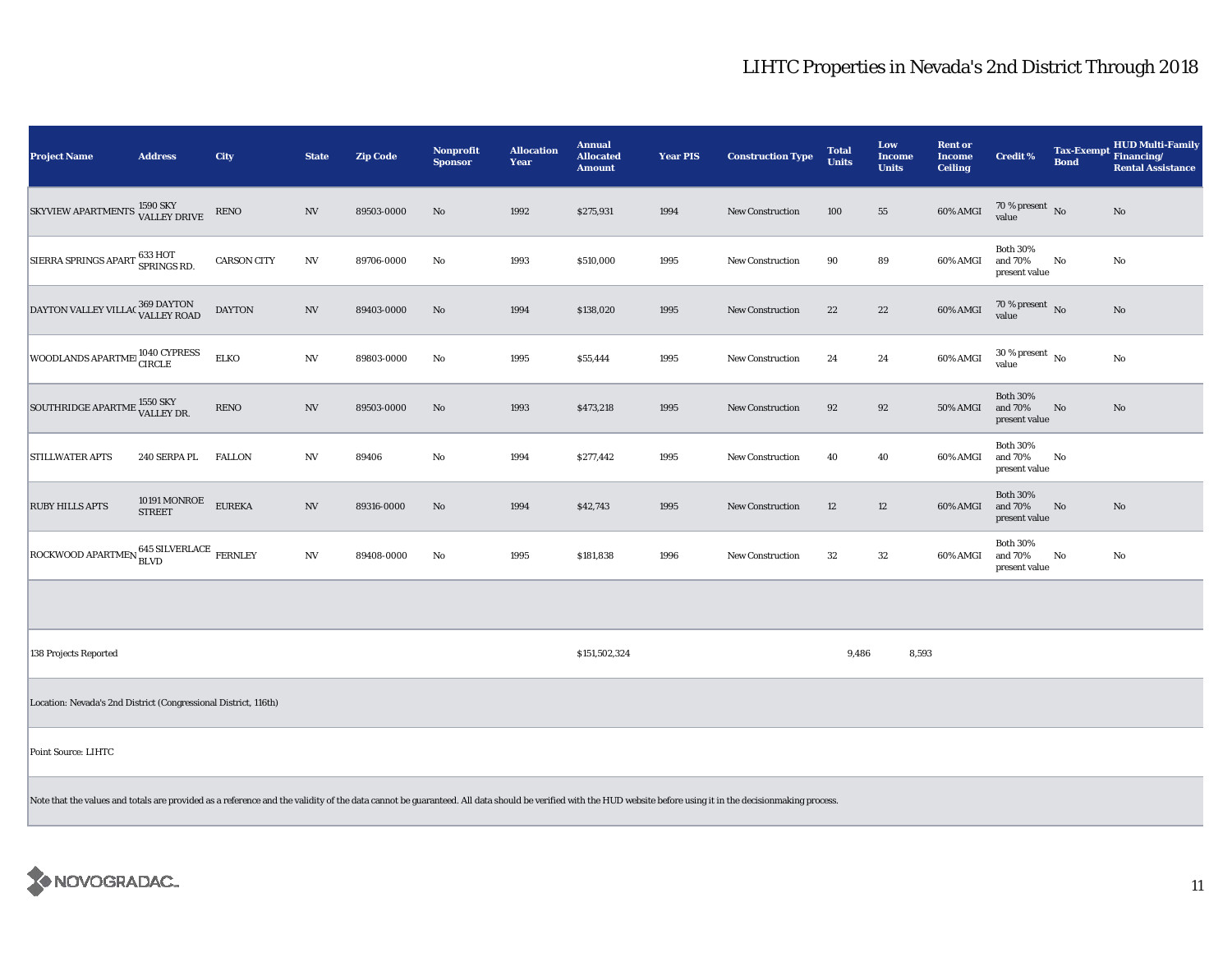| <b>Project Name</b>                                             | <b>Address</b>         | <b>City</b>        | <b>State</b>             | <b>Zip Code</b> | Nonprofit<br><b>Sponsor</b> | <b>Allocation</b><br>Year | <b>Annual</b><br><b>Allocated</b><br><b>Amount</b> | <b>Year PIS</b> | <b>Construction Type</b> | <b>Total</b><br><b>Units</b> | Low<br><b>Income</b><br><b>Units</b> | <b>Rent or</b><br><b>Income</b><br><b>Ceiling</b> | <b>Credit %</b>                             | <b>Bond</b> | <b>HUD Multi-Family</b><br>Tax-Exempt Financing/<br><b>Rental Assistance</b> |
|-----------------------------------------------------------------|------------------------|--------------------|--------------------------|-----------------|-----------------------------|---------------------------|----------------------------------------------------|-----------------|--------------------------|------------------------------|--------------------------------------|---------------------------------------------------|---------------------------------------------|-------------|------------------------------------------------------------------------------|
| SKYVIEW APARTMENTS 1590 SKY                                     |                        | <b>RENO</b>        | NV                       | 89503-0000      | No                          | 1992                      | \$275,931                                          | 1994            | <b>New Construction</b>  | 100                          | 55                                   | 60% AMGI                                          | $70\,\%$ present $\,$ No value              |             | No                                                                           |
| SIERRA SPRINGS APART 633 HOT                                    |                        | <b>CARSON CITY</b> | $_{\mathrm{NV}}$         | 89706-0000      | No                          | 1993                      | \$510,000                                          | 1995            | <b>New Construction</b>  | 90                           | 89                                   | 60% AMGI                                          | <b>Both 30%</b><br>and 70%<br>present value | $\rm No$    | No                                                                           |
| DAYTON VALLEY VILLAC 369 DAYTON                                 |                        | <b>DAYTON</b>      | $\ensuremath{\text{NV}}$ | 89403-0000      | No                          | 1994                      | \$138,020                                          | 1995            | New Construction         | $\bf{22}$                    | $22\,$                               | 60% AMGI                                          | $70\,\%$ present $\,$ No value              |             | $\rm No$                                                                     |
| WOODLANDS APARTME 1040 CYPRESS                                  |                        | <b>ELKO</b>        | $_{\mathrm{NV}}$         | 89803-0000      | No                          | 1995                      | \$55,444                                           | 1995            | New Construction         | 24                           | 24                                   | 60% AMGI                                          | $30$ % present $\,$ No $\,$<br>value        |             | $\rm No$                                                                     |
| SOUTHRIDGE APARTME 1550 SKY                                     |                        | <b>RENO</b>        | $_{\mathrm{NV}}$         | 89503-0000      | No                          | 1993                      | \$473,218                                          | 1995            | <b>New Construction</b>  | 92                           | 92                                   | 50% AMGI                                          | <b>Both 30%</b><br>and 70%<br>present value | No          | No                                                                           |
| <b>STILLWATER APTS</b>                                          | 240 SERPA PL           | <b>FALLON</b>      | NV                       | 89406           | No                          | 1994                      | \$277,442                                          | 1995            | <b>New Construction</b>  | 40                           | 40                                   | 60% AMGI                                          | <b>Both 30%</b><br>and 70%<br>present value | No          |                                                                              |
| <b>RUBY HILLS APTS</b>                                          | 10191 MONROE<br>STREET | <b>EUREKA</b>      | $\ensuremath{\text{NV}}$ | 89316-0000      | No                          | 1994                      | \$42,743                                           | 1995            | New Construction         | $12\,$                       | $12\,$                               | 60% AMGI                                          | <b>Both 30%</b><br>and 70%<br>present value | No          | No                                                                           |
| ROCKWOOD APARTMEN 645 SILVERLACE FERNLEY                        |                        |                    | $_{\mathrm{NV}}$         | 89408-0000      | No                          | 1995                      | \$181,838                                          | 1996            | <b>New Construction</b>  | 32                           | $32\,$                               | 60% AMGI                                          | <b>Both 30%</b><br>and 70%<br>present value | No          | No                                                                           |
|                                                                 |                        |                    |                          |                 |                             |                           |                                                    |                 |                          |                              |                                      |                                                   |                                             |             |                                                                              |
| 138 Projects Reported                                           |                        |                    |                          |                 |                             |                           | \$151,502,324                                      |                 |                          | 9,486                        | 8,593                                |                                                   |                                             |             |                                                                              |
| Location: Nevada's 2nd District (Congressional District, 116th) |                        |                    |                          |                 |                             |                           |                                                    |                 |                          |                              |                                      |                                                   |                                             |             |                                                                              |
| Point Source: LIHTC                                             |                        |                    |                          |                 |                             |                           |                                                    |                 |                          |                              |                                      |                                                   |                                             |             |                                                                              |
| $\sim$ $\sim$ $\sim$                                            |                        |                    |                          |                 |                             |                           |                                                    |                 |                          |                              |                                      |                                                   |                                             |             |                                                                              |

Note that the values and totals are provided as a reference and the validity of the data cannot be guaranteed. All data should be verified with the HUD website before using it in the decisionmaking process.